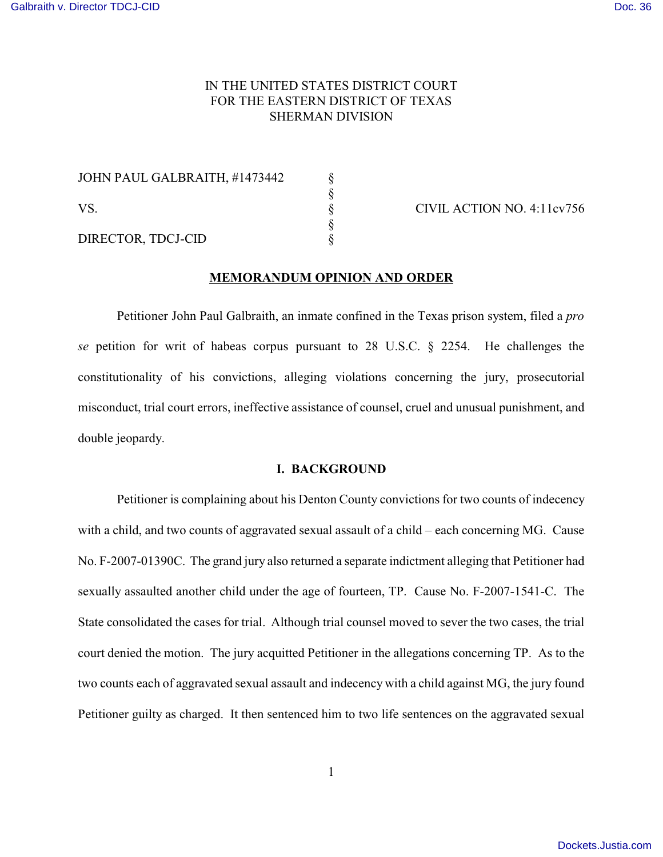# IN THE UNITED STATES DISTRICT COURT FOR THE EASTERN DISTRICT OF TEXAS SHERMAN DIVISION

| JOHN PAUL GALBRAITH, #1473442 |  |
|-------------------------------|--|
| VS.                           |  |
|                               |  |
|                               |  |
| DIRECTOR, TDCJ-CID            |  |

CIVIL ACTION NO. 4:11cv756

## **MEMORANDUM OPINION AND ORDER**

Petitioner John Paul Galbraith, an inmate confined in the Texas prison system, filed a *pro se* petition for writ of habeas corpus pursuant to 28 U.S.C. § 2254. He challenges the constitutionality of his convictions, alleging violations concerning the jury, prosecutorial misconduct, trial court errors, ineffective assistance of counsel, cruel and unusual punishment, and double jeopardy.

#### **I. BACKGROUND**

Petitioner is complaining about his Denton County convictions for two counts of indecency with a child, and two counts of aggravated sexual assault of a child – each concerning MG. Cause No. F-2007-01390C. The grand jury also returned a separate indictment alleging that Petitioner had sexually assaulted another child under the age of fourteen, TP. Cause No. F-2007-1541-C. The State consolidated the cases for trial. Although trial counsel moved to sever the two cases, the trial court denied the motion. The jury acquitted Petitioner in the allegations concerning TP. As to the two counts each of aggravated sexual assault and indecency with a child against MG, the jury found Petitioner guilty as charged. It then sentenced him to two life sentences on the aggravated sexual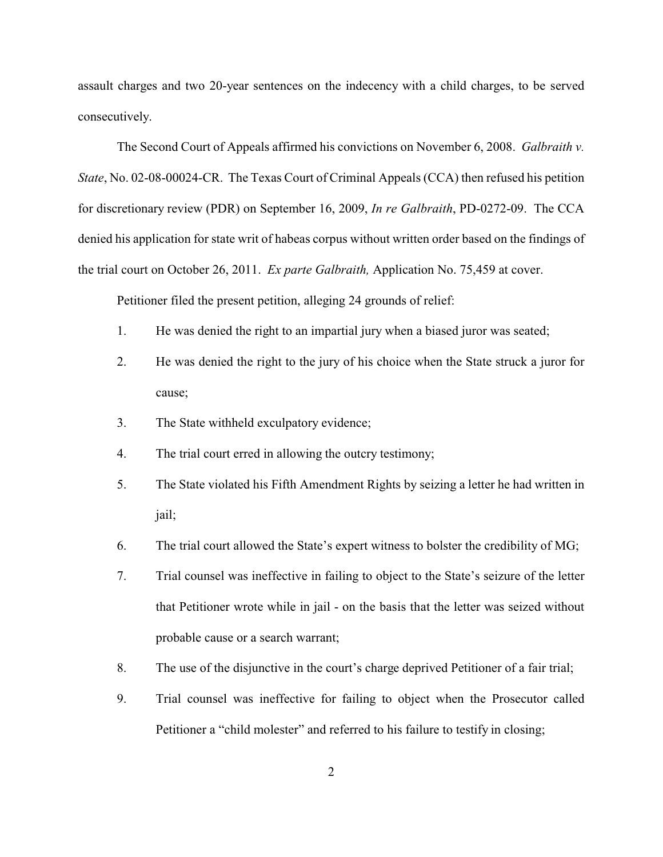assault charges and two 20-year sentences on the indecency with a child charges, to be served consecutively.

The Second Court of Appeals affirmed his convictions on November 6, 2008. *Galbraith v. State*, No. 02-08-00024-CR. The Texas Court of Criminal Appeals (CCA) then refused his petition for discretionary review (PDR) on September 16, 2009, *In re Galbraith*, PD-0272-09. The CCA denied his application for state writ of habeas corpus without written order based on the findings of the trial court on October 26, 2011. *Ex parte Galbraith,* Application No. 75,459 at cover.

Petitioner filed the present petition, alleging 24 grounds of relief:

- 1. He was denied the right to an impartial jury when a biased juror was seated;
- 2. He was denied the right to the jury of his choice when the State struck a juror for cause;
- 3. The State withheld exculpatory evidence;
- 4. The trial court erred in allowing the outcry testimony;
- 5. The State violated his Fifth Amendment Rights by seizing a letter he had written in jail;
- 6. The trial court allowed the State's expert witness to bolster the credibility of MG;
- 7. Trial counsel was ineffective in failing to object to the State's seizure of the letter that Petitioner wrote while in jail - on the basis that the letter was seized without probable cause or a search warrant;
- 8. The use of the disjunctive in the court's charge deprived Petitioner of a fair trial;
- 9. Trial counsel was ineffective for failing to object when the Prosecutor called Petitioner a "child molester" and referred to his failure to testify in closing;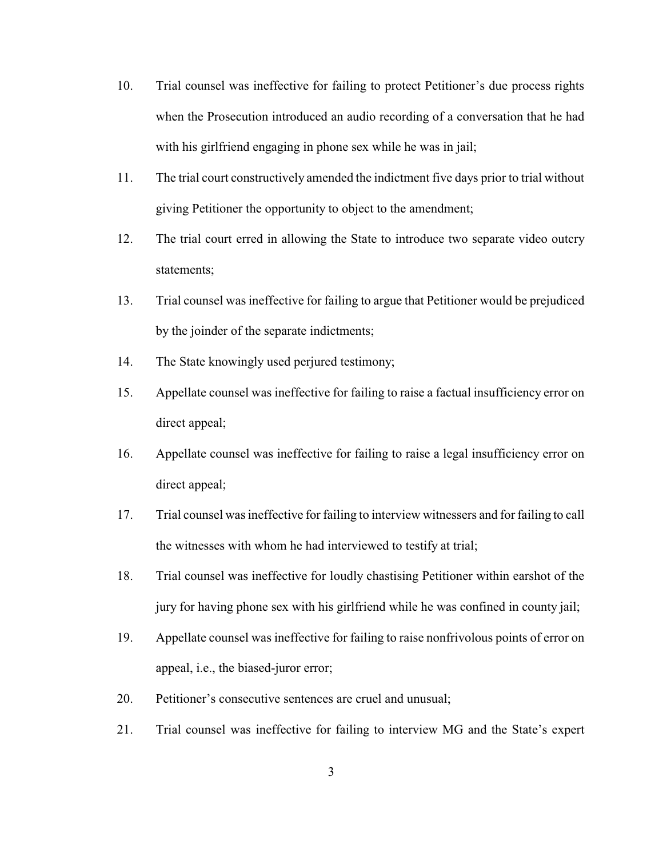- 10. Trial counsel was ineffective for failing to protect Petitioner's due process rights when the Prosecution introduced an audio recording of a conversation that he had with his girlfriend engaging in phone sex while he was in jail;
- 11. The trial court constructively amended the indictment five days prior to trial without giving Petitioner the opportunity to object to the amendment;
- 12. The trial court erred in allowing the State to introduce two separate video outcry statements;
- 13. Trial counsel was ineffective for failing to argue that Petitioner would be prejudiced by the joinder of the separate indictments;
- 14. The State knowingly used perjured testimony;
- 15. Appellate counsel was ineffective for failing to raise a factual insufficiency error on direct appeal;
- 16. Appellate counsel was ineffective for failing to raise a legal insufficiency error on direct appeal;
- 17. Trial counsel was ineffective for failing to interview witnessers and for failing to call the witnesses with whom he had interviewed to testify at trial;
- 18. Trial counsel was ineffective for loudly chastising Petitioner within earshot of the jury for having phone sex with his girlfriend while he was confined in county jail;
- 19. Appellate counsel was ineffective for failing to raise nonfrivolous points of error on appeal, i.e., the biased-juror error;
- 20. Petitioner's consecutive sentences are cruel and unusual;
- 21. Trial counsel was ineffective for failing to interview MG and the State's expert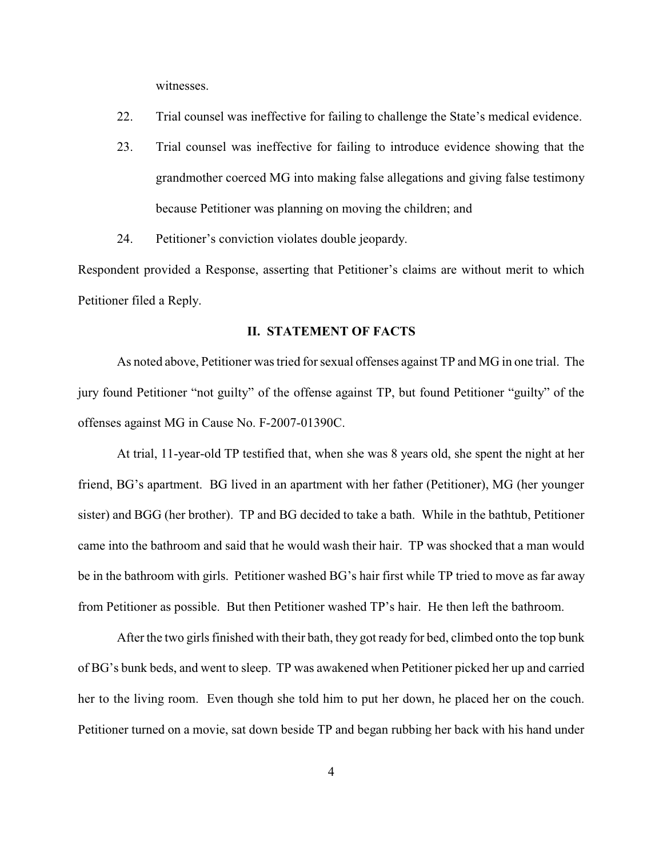witnesses.

- 22. Trial counsel was ineffective for failing to challenge the State's medical evidence.
- 23. Trial counsel was ineffective for failing to introduce evidence showing that the grandmother coerced MG into making false allegations and giving false testimony because Petitioner was planning on moving the children; and
- 24. Petitioner's conviction violates double jeopardy.

Respondent provided a Response, asserting that Petitioner's claims are without merit to which Petitioner filed a Reply.

### **II. STATEMENT OF FACTS**

As noted above, Petitioner was tried for sexual offenses against TP and MG in one trial. The jury found Petitioner "not guilty" of the offense against TP, but found Petitioner "guilty" of the offenses against MG in Cause No. F-2007-01390C.

At trial, 11-year-old TP testified that, when she was 8 years old, she spent the night at her friend, BG's apartment. BG lived in an apartment with her father (Petitioner), MG (her younger sister) and BGG (her brother). TP and BG decided to take a bath. While in the bathtub, Petitioner came into the bathroom and said that he would wash their hair. TP was shocked that a man would be in the bathroom with girls. Petitioner washed BG's hair first while TP tried to move as far away from Petitioner as possible. But then Petitioner washed TP's hair. He then left the bathroom.

After the two girls finished with their bath, they got ready for bed, climbed onto the top bunk of BG's bunk beds, and went to sleep. TP was awakened when Petitioner picked her up and carried her to the living room. Even though she told him to put her down, he placed her on the couch. Petitioner turned on a movie, sat down beside TP and began rubbing her back with his hand under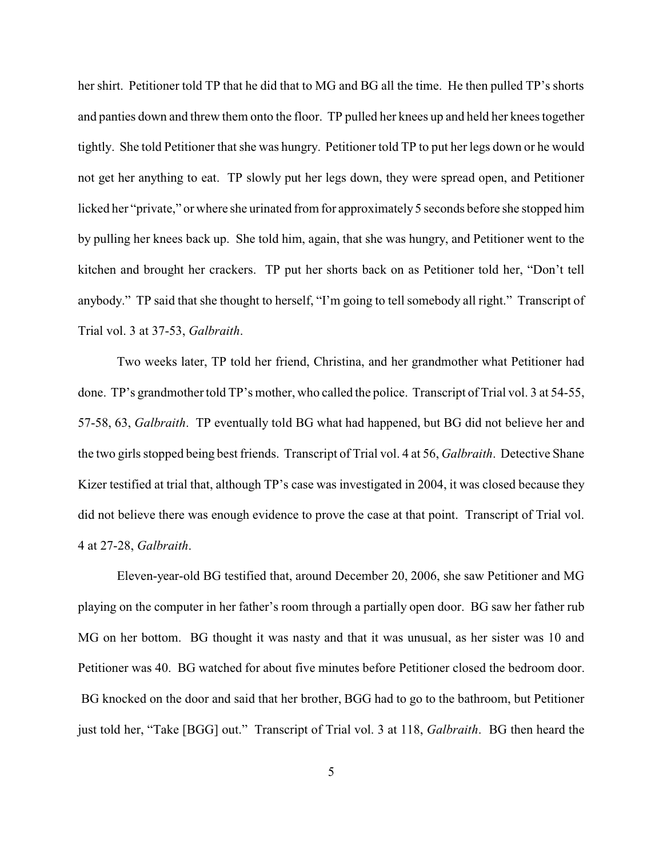her shirt. Petitioner told TP that he did that to MG and BG all the time. He then pulled TP's shorts and panties down and threw them onto the floor. TP pulled her knees up and held her knees together tightly. She told Petitioner that she was hungry. Petitioner told TP to put her legs down or he would not get her anything to eat. TP slowly put her legs down, they were spread open, and Petitioner licked her "private," or where she urinated from for approximately 5 seconds before she stopped him by pulling her knees back up. She told him, again, that she was hungry, and Petitioner went to the kitchen and brought her crackers. TP put her shorts back on as Petitioner told her, "Don't tell anybody." TP said that she thought to herself, "I'm going to tell somebody all right." Transcript of Trial vol. 3 at 37-53, *Galbraith*.

Two weeks later, TP told her friend, Christina, and her grandmother what Petitioner had done. TP's grandmother told TP's mother, who called the police. Transcript of Trial vol. 3 at 54-55, 57-58, 63, *Galbraith*. TP eventually told BG what had happened, but BG did not believe her and the two girls stopped being best friends. Transcript of Trial vol. 4 at 56, *Galbraith*. Detective Shane Kizer testified at trial that, although TP's case was investigated in 2004, it was closed because they did not believe there was enough evidence to prove the case at that point. Transcript of Trial vol. 4 at 27-28, *Galbraith*.

Eleven-year-old BG testified that, around December 20, 2006, she saw Petitioner and MG playing on the computer in her father's room through a partially open door. BG saw her father rub MG on her bottom. BG thought it was nasty and that it was unusual, as her sister was 10 and Petitioner was 40. BG watched for about five minutes before Petitioner closed the bedroom door. BG knocked on the door and said that her brother, BGG had to go to the bathroom, but Petitioner just told her, "Take [BGG] out." Transcript of Trial vol. 3 at 118, *Galbraith*. BG then heard the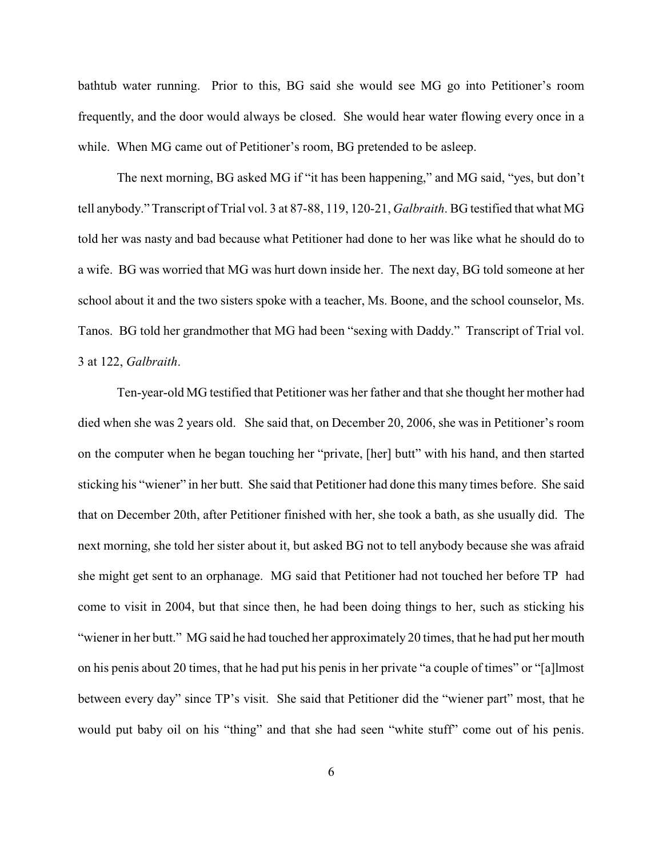bathtub water running. Prior to this, BG said she would see MG go into Petitioner's room frequently, and the door would always be closed. She would hear water flowing every once in a while. When MG came out of Petitioner's room, BG pretended to be asleep.

The next morning, BG asked MG if "it has been happening," and MG said, "yes, but don't tell anybody." Transcript of Trial vol. 3 at 87-88, 119, 120-21, *Galbraith*. BG testified that what MG told her was nasty and bad because what Petitioner had done to her was like what he should do to a wife. BG was worried that MG was hurt down inside her. The next day, BG told someone at her school about it and the two sisters spoke with a teacher, Ms. Boone, and the school counselor, Ms. Tanos. BG told her grandmother that MG had been "sexing with Daddy." Transcript of Trial vol. 3 at 122, *Galbraith*.

Ten-year-old MG testified that Petitioner was her father and that she thought her mother had died when she was 2 years old. She said that, on December 20, 2006, she was in Petitioner's room on the computer when he began touching her "private, [her] butt" with his hand, and then started sticking his "wiener" in her butt. She said that Petitioner had done this many times before. She said that on December 20th, after Petitioner finished with her, she took a bath, as she usually did. The next morning, she told her sister about it, but asked BG not to tell anybody because she was afraid she might get sent to an orphanage. MG said that Petitioner had not touched her before TP had come to visit in 2004, but that since then, he had been doing things to her, such as sticking his "wiener in her butt." MG said he had touched her approximately 20 times, that he had put her mouth on his penis about 20 times, that he had put his penis in her private "a couple of times" or "[a]lmost between every day" since TP's visit. She said that Petitioner did the "wiener part" most, that he would put baby oil on his "thing" and that she had seen "white stuff" come out of his penis.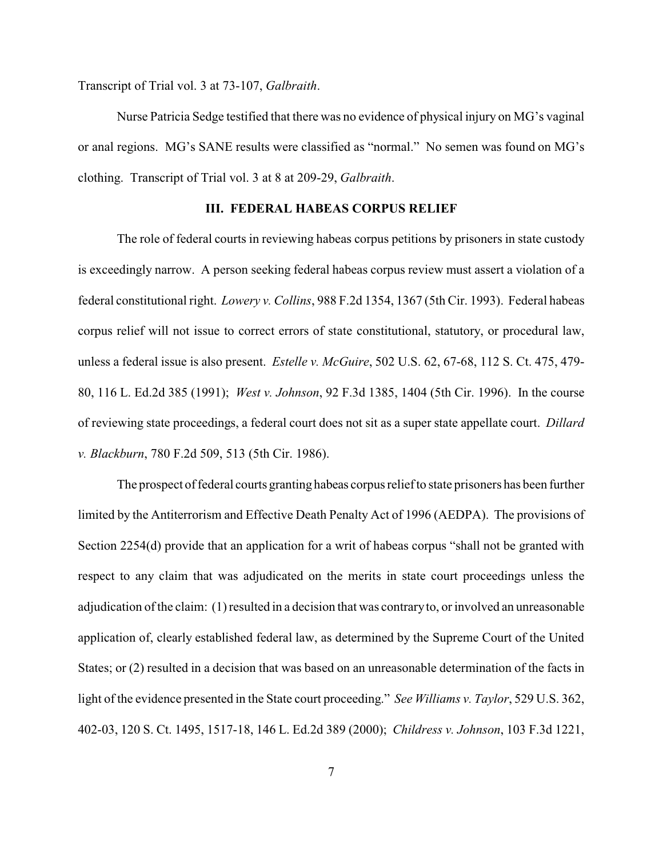Transcript of Trial vol. 3 at 73-107, *Galbraith*.

Nurse Patricia Sedge testified that there was no evidence of physical injury on MG's vaginal or anal regions. MG's SANE results were classified as "normal." No semen was found on MG's clothing. Transcript of Trial vol. 3 at 8 at 209-29, *Galbraith*.

# **III. FEDERAL HABEAS CORPUS RELIEF**

The role of federal courts in reviewing habeas corpus petitions by prisoners in state custody is exceedingly narrow. A person seeking federal habeas corpus review must assert a violation of a federal constitutional right. *Lowery v. Collins*, 988 F.2d 1354, 1367 (5th Cir. 1993). Federal habeas corpus relief will not issue to correct errors of state constitutional, statutory, or procedural law, unless a federal issue is also present. *Estelle v. McGuire*, 502 U.S. 62, 67-68, 112 S. Ct. 475, 479- 80, 116 L. Ed.2d 385 (1991); *West v. Johnson*, 92 F.3d 1385, 1404 (5th Cir. 1996). In the course of reviewing state proceedings, a federal court does not sit as a super state appellate court. *Dillard v. Blackburn*, 780 F.2d 509, 513 (5th Cir. 1986).

The prospect of federal courts granting habeas corpus relief to state prisoners has been further limited by the Antiterrorism and Effective Death Penalty Act of 1996 (AEDPA). The provisions of Section 2254(d) provide that an application for a writ of habeas corpus "shall not be granted with respect to any claim that was adjudicated on the merits in state court proceedings unless the adjudication of the claim: (1) resulted in a decision that was contraryto, or involved an unreasonable application of, clearly established federal law, as determined by the Supreme Court of the United States; or (2) resulted in a decision that was based on an unreasonable determination of the facts in light of the evidence presented in the State court proceeding." *See Williams v. Taylor*, 529 U.S. 362, 402-03, 120 S. Ct. 1495, 1517-18, 146 L. Ed.2d 389 (2000); *Childress v. Johnson*, 103 F.3d 1221,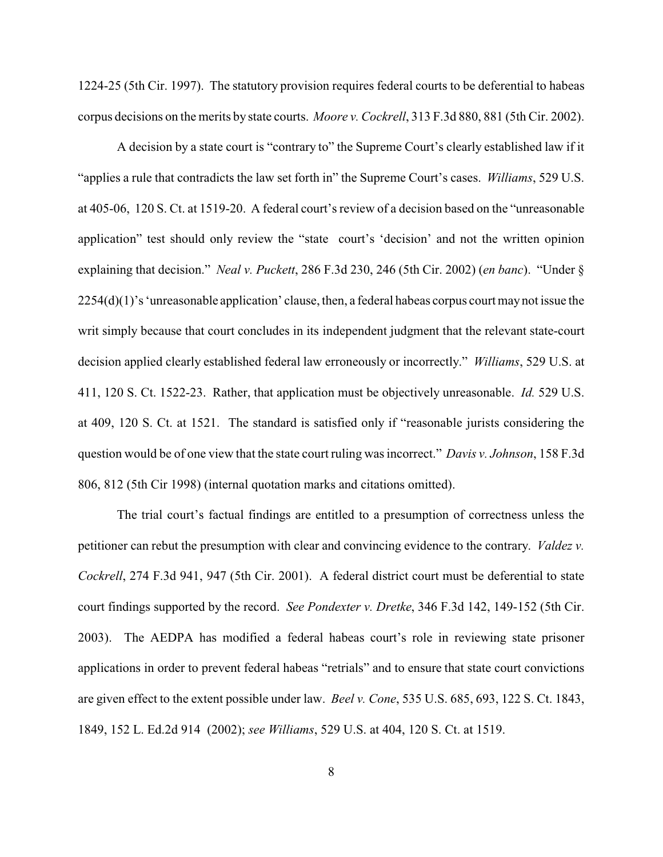1224-25 (5th Cir. 1997). The statutory provision requires federal courts to be deferential to habeas corpus decisions on the merits by state courts. *Moore v. Cockrell*, 313 F.3d 880, 881 (5th Cir. 2002).

A decision by a state court is "contrary to" the Supreme Court's clearly established law if it "applies a rule that contradicts the law set forth in" the Supreme Court's cases. *Williams*, 529 U.S. at 405-06, 120 S. Ct. at 1519-20. A federal court's review of a decision based on the "unreasonable application" test should only review the "state court's 'decision' and not the written opinion explaining that decision." *Neal v. Puckett*, 286 F.3d 230, 246 (5th Cir. 2002) (*en banc*). "Under § 2254(d)(1)'s 'unreasonable application' clause, then, a federal habeas corpus court may not issue the writ simply because that court concludes in its independent judgment that the relevant state-court decision applied clearly established federal law erroneously or incorrectly." *Williams*, 529 U.S. at 411, 120 S. Ct. 1522-23. Rather, that application must be objectively unreasonable. *Id.* 529 U.S. at 409, 120 S. Ct. at 1521. The standard is satisfied only if "reasonable jurists considering the question would be of one view that the state court ruling was incorrect." *Davis v. Johnson*, 158 F.3d 806, 812 (5th Cir 1998) (internal quotation marks and citations omitted).

The trial court's factual findings are entitled to a presumption of correctness unless the petitioner can rebut the presumption with clear and convincing evidence to the contrary. *Valdez v. Cockrell*, 274 F.3d 941, 947 (5th Cir. 2001). A federal district court must be deferential to state court findings supported by the record. *See Pondexter v. Dretke*, 346 F.3d 142, 149-152 (5th Cir. 2003). The AEDPA has modified a federal habeas court's role in reviewing state prisoner applications in order to prevent federal habeas "retrials" and to ensure that state court convictions are given effect to the extent possible under law. *Beel v. Cone*, 535 U.S. 685, 693, 122 S. Ct. 1843, 1849, 152 L. Ed.2d 914 (2002); *see Williams*, 529 U.S. at 404, 120 S. Ct. at 1519.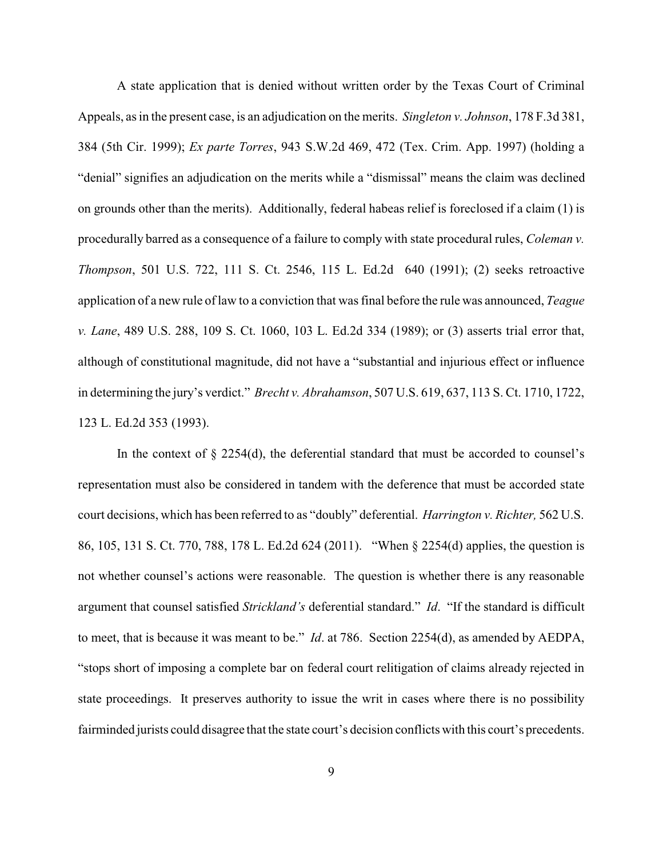A state application that is denied without written order by the Texas Court of Criminal Appeals, as in the present case, is an adjudication on the merits. *Singleton v. Johnson*, 178 F.3d 381, 384 (5th Cir. 1999); *Ex parte Torres*, 943 S.W.2d 469, 472 (Tex. Crim. App. 1997) (holding a "denial" signifies an adjudication on the merits while a "dismissal" means the claim was declined on grounds other than the merits). Additionally, federal habeas relief is foreclosed if a claim (1) is procedurally barred as a consequence of a failure to comply with state procedural rules, *Coleman v. Thompson*, 501 U.S. 722, 111 S. Ct. 2546, 115 L. Ed.2d 640 (1991); (2) seeks retroactive application of a new rule of law to a conviction that was final before the rule was announced, *Teague v. Lane*, 489 U.S. 288, 109 S. Ct. 1060, 103 L. Ed.2d 334 (1989); or (3) asserts trial error that, although of constitutional magnitude, did not have a "substantial and injurious effect or influence in determining the jury's verdict." *Brecht v. Abrahamson*, 507 U.S. 619, 637, 113 S. Ct. 1710, 1722, 123 L. Ed.2d 353 (1993).

In the context of  $\S 2254(d)$ , the deferential standard that must be accorded to counsel's representation must also be considered in tandem with the deference that must be accorded state court decisions, which has been referred to as "doubly" deferential. *Harrington v. Richter,* 562 U.S. 86, 105, 131 S. Ct. 770, 788, 178 L. Ed.2d 624 (2011). "When § 2254(d) applies, the question is not whether counsel's actions were reasonable. The question is whether there is any reasonable argument that counsel satisfied *Strickland's* deferential standard." *Id*. "If the standard is difficult to meet, that is because it was meant to be." *Id*. at 786. Section 2254(d), as amended by AEDPA, "stops short of imposing a complete bar on federal court relitigation of claims already rejected in state proceedings. It preserves authority to issue the writ in cases where there is no possibility fairminded jurists could disagree that the state court's decision conflicts with this court's precedents.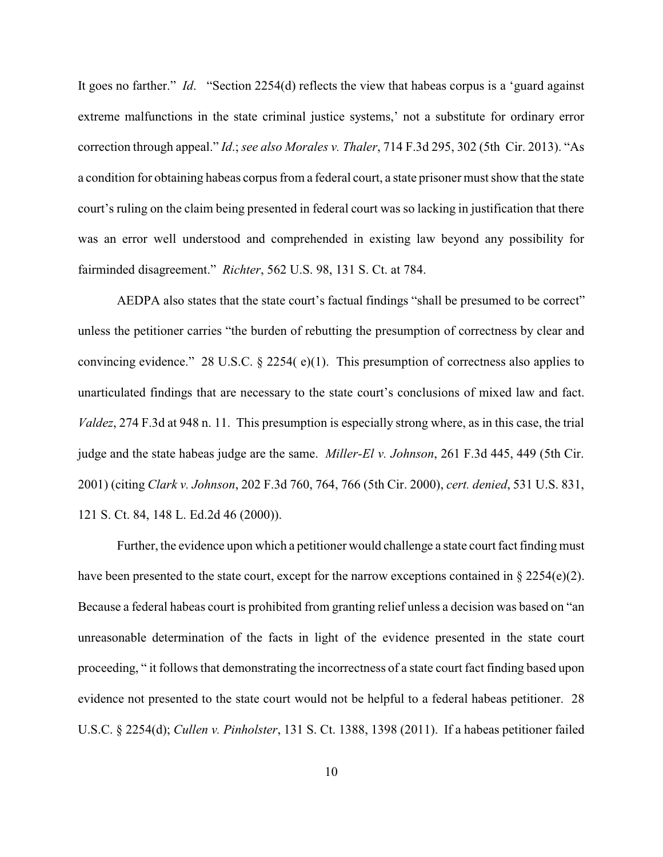It goes no farther." *Id*. "Section 2254(d) reflects the view that habeas corpus is a 'guard against extreme malfunctions in the state criminal justice systems,' not a substitute for ordinary error correction through appeal." *Id*.; *see also Morales v. Thaler*, 714 F.3d 295, 302 (5th Cir. 2013). "As a condition for obtaining habeas corpus from a federal court, a state prisoner must show that the state court's ruling on the claim being presented in federal court was so lacking in justification that there was an error well understood and comprehended in existing law beyond any possibility for fairminded disagreement." *Richter*, 562 U.S. 98, 131 S. Ct. at 784.

AEDPA also states that the state court's factual findings "shall be presumed to be correct" unless the petitioner carries "the burden of rebutting the presumption of correctness by clear and convincing evidence." 28 U.S.C. § 2254( e)(1). This presumption of correctness also applies to unarticulated findings that are necessary to the state court's conclusions of mixed law and fact. *Valdez*, 274 F.3d at 948 n. 11. This presumption is especially strong where, as in this case, the trial judge and the state habeas judge are the same. *Miller-El v. Johnson*, 261 F.3d 445, 449 (5th Cir. 2001) (citing *Clark v. Johnson*, 202 F.3d 760, 764, 766 (5th Cir. 2000), *cert. denied*, 531 U.S. 831, 121 S. Ct. 84, 148 L. Ed.2d 46 (2000)).

Further, the evidence upon which a petitioner would challenge a state court fact finding must have been presented to the state court, except for the narrow exceptions contained in  $\S 2254(e)(2)$ . Because a federal habeas court is prohibited from granting relief unless a decision was based on "an unreasonable determination of the facts in light of the evidence presented in the state court proceeding, " it follows that demonstrating the incorrectness of a state court fact finding based upon evidence not presented to the state court would not be helpful to a federal habeas petitioner. 28 U.S.C. § 2254(d); *Cullen v. Pinholster*, 131 S. Ct. 1388, 1398 (2011). If a habeas petitioner failed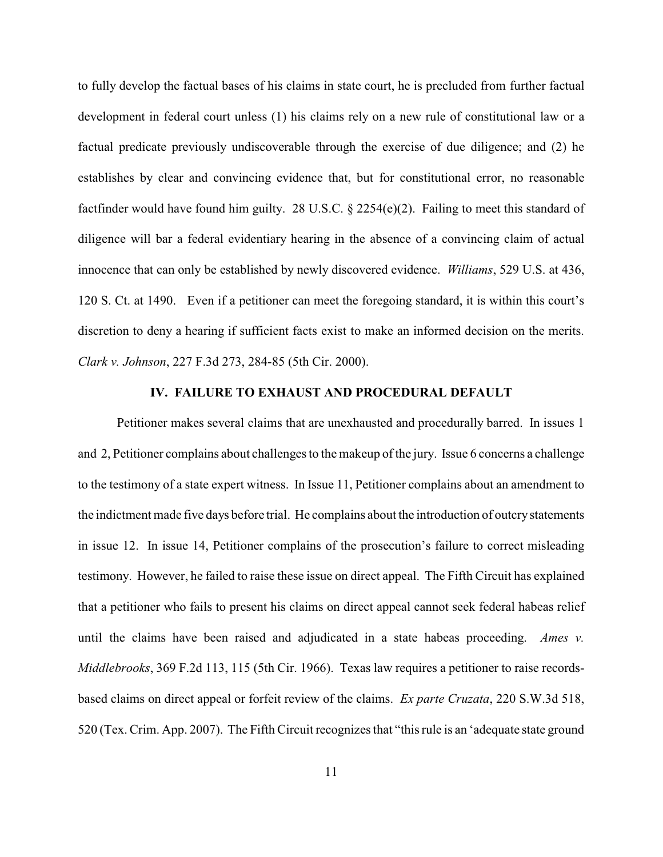to fully develop the factual bases of his claims in state court, he is precluded from further factual development in federal court unless (1) his claims rely on a new rule of constitutional law or a factual predicate previously undiscoverable through the exercise of due diligence; and (2) he establishes by clear and convincing evidence that, but for constitutional error, no reasonable factfinder would have found him guilty. 28 U.S.C. § 2254(e)(2). Failing to meet this standard of diligence will bar a federal evidentiary hearing in the absence of a convincing claim of actual innocence that can only be established by newly discovered evidence. *Williams*, 529 U.S. at 436, 120 S. Ct. at 1490. Even if a petitioner can meet the foregoing standard, it is within this court's discretion to deny a hearing if sufficient facts exist to make an informed decision on the merits. *Clark v. Johnson*, 227 F.3d 273, 284-85 (5th Cir. 2000).

# **IV. FAILURE TO EXHAUST AND PROCEDURAL DEFAULT**

Petitioner makes several claims that are unexhausted and procedurally barred. In issues 1 and 2, Petitioner complains about challenges to the makeup of the jury. Issue 6 concerns a challenge to the testimony of a state expert witness. In Issue 11, Petitioner complains about an amendment to the indictment made five days before trial. He complains about the introduction of outcry statements in issue 12. In issue 14, Petitioner complains of the prosecution's failure to correct misleading testimony. However, he failed to raise these issue on direct appeal. The Fifth Circuit has explained that a petitioner who fails to present his claims on direct appeal cannot seek federal habeas relief until the claims have been raised and adjudicated in a state habeas proceeding. *Ames v. Middlebrooks*, 369 F.2d 113, 115 (5th Cir. 1966). Texas law requires a petitioner to raise recordsbased claims on direct appeal or forfeit review of the claims. *Ex parte Cruzata*, 220 S.W.3d 518, 520 (Tex. Crim. App. 2007). The Fifth Circuit recognizes that "this rule is an 'adequate state ground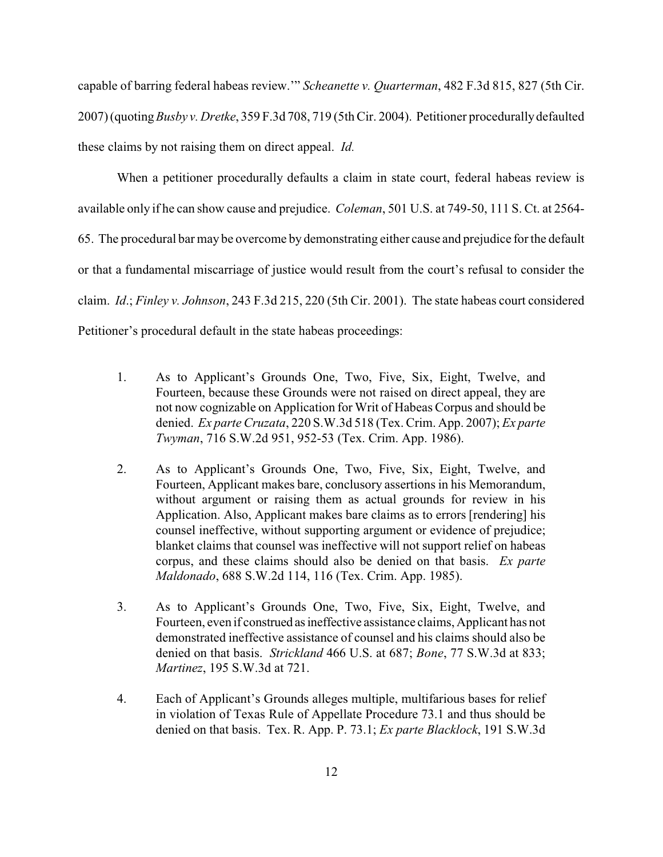capable of barring federal habeas review.'" *Scheanette v. Quarterman*, 482 F.3d 815, 827 (5th Cir. 2007) (quoting*Busby v. Dretke*, 359 F.3d 708, 719 (5th Cir. 2004). Petitioner procedurallydefaulted these claims by not raising them on direct appeal. *Id.* 

When a petitioner procedurally defaults a claim in state court, federal habeas review is available only if he can show cause and prejudice. *Coleman*, 501 U.S. at 749-50, 111 S. Ct. at 2564- 65. The procedural bar may be overcome by demonstrating either cause and prejudice for the default or that a fundamental miscarriage of justice would result from the court's refusal to consider the claim. *Id*.; *Finley v. Johnson*, 243 F.3d 215, 220 (5th Cir. 2001). The state habeas court considered Petitioner's procedural default in the state habeas proceedings:

- 1. As to Applicant's Grounds One, Two, Five, Six, Eight, Twelve, and Fourteen, because these Grounds were not raised on direct appeal, they are not now cognizable on Application for Writ of Habeas Corpus and should be denied. *Ex parte Cruzata*, 220 S.W.3d 518 (Tex. Crim. App. 2007); *Ex parte Twyman*, 716 S.W.2d 951, 952-53 (Tex. Crim. App. 1986).
- 2. As to Applicant's Grounds One, Two, Five, Six, Eight, Twelve, and Fourteen, Applicant makes bare, conclusory assertions in his Memorandum, without argument or raising them as actual grounds for review in his Application. Also, Applicant makes bare claims as to errors [rendering] his counsel ineffective, without supporting argument or evidence of prejudice; blanket claims that counsel was ineffective will not support relief on habeas corpus, and these claims should also be denied on that basis. *Ex parte Maldonado*, 688 S.W.2d 114, 116 (Tex. Crim. App. 1985).
- 3. As to Applicant's Grounds One, Two, Five, Six, Eight, Twelve, and Fourteen, even if construed as ineffective assistance claims, Applicant has not demonstrated ineffective assistance of counsel and his claims should also be denied on that basis. *Strickland* 466 U.S. at 687; *Bone*, 77 S.W.3d at 833; *Martinez*, 195 S.W.3d at 721.
- 4. Each of Applicant's Grounds alleges multiple, multifarious bases for relief in violation of Texas Rule of Appellate Procedure 73.1 and thus should be denied on that basis. Tex. R. App. P. 73.1; *Ex parte Blacklock*, 191 S.W.3d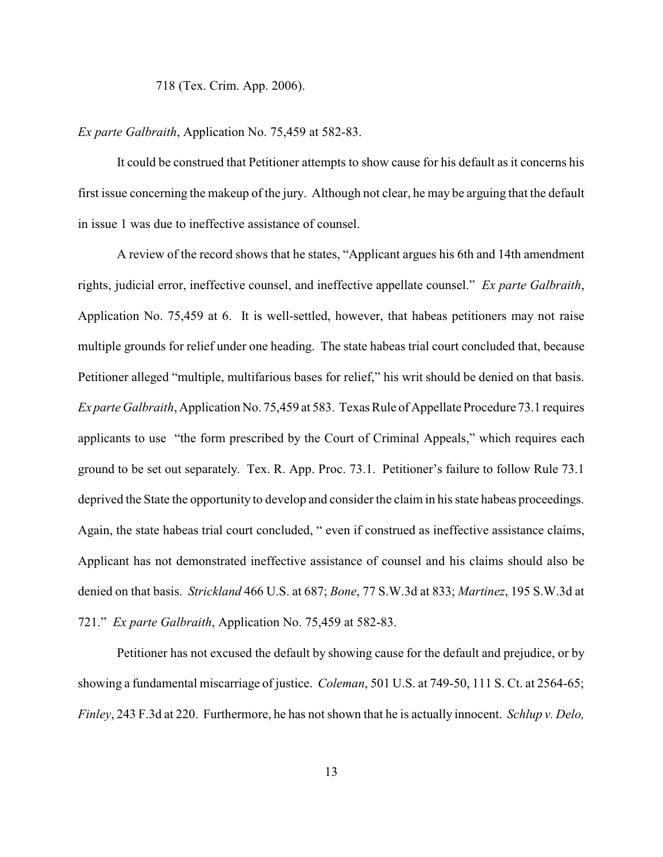718 (Tex. Crim. App. 2006).

# *Ex parte Galbraith*, Application No. 75,459 at 582-83.

It could be construed that Petitioner attempts to show cause for his default as it concerns his first issue concerning the makeup of the jury. Although not clear, he may be arguing that the default in issue 1 was due to ineffective assistance of counsel.

A review of the record shows that he states, "Applicant argues his 6th and 14th amendment rights, judicial error, ineffective counsel, and ineffective appellate counsel." *Ex parte Galbraith*, Application No. 75,459 at 6. It is well-settled, however, that habeas petitioners may not raise multiple grounds for relief under one heading. The state habeas trial court concluded that, because Petitioner alleged "multiple, multifarious bases for relief," his writ should be denied on that basis. *Ex parte Galbraith*, Application No. 75,459 at 583. Texas Rule of Appellate Procedure 73.1 requires applicants to use "the form prescribed by the Court of Criminal Appeals," which requires each ground to be set out separately. Tex. R. App. Proc. 73.1. Petitioner's failure to follow Rule 73.1 deprived the State the opportunity to develop and consider the claim in his state habeas proceedings. Again, the state habeas trial court concluded, " even if construed as ineffective assistance claims, Applicant has not demonstrated ineffective assistance of counsel and his claims should also be denied on that basis. *Strickland* 466 U.S. at 687; *Bone*, 77 S.W.3d at 833; *Martinez*, 195 S.W.3d at 721." *Ex parte Galbraith*, Application No. 75,459 at 582-83.

Petitioner has not excused the default by showing cause for the default and prejudice, or by showing a fundamental miscarriage of justice. *Coleman*, 501 U.S. at 749-50, 111 S. Ct. at 2564-65; *Finley*, 243 F.3d at 220. Furthermore, he has not shown that he is actually innocent. *Schlup v. Delo,*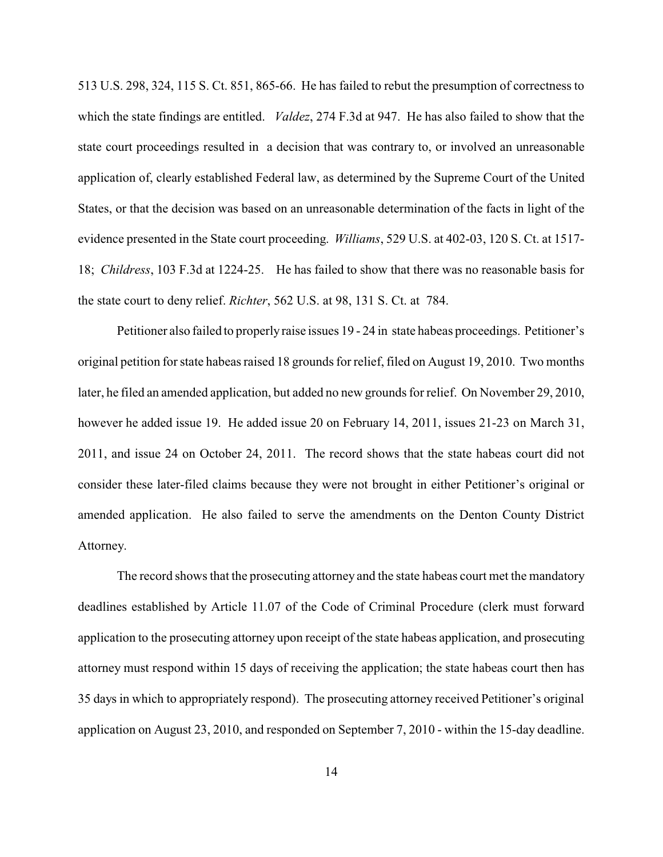513 U.S. 298, 324, 115 S. Ct. 851, 865-66. He has failed to rebut the presumption of correctness to which the state findings are entitled. *Valdez*, 274 F.3d at 947. He has also failed to show that the state court proceedings resulted in a decision that was contrary to, or involved an unreasonable application of, clearly established Federal law, as determined by the Supreme Court of the United States, or that the decision was based on an unreasonable determination of the facts in light of the evidence presented in the State court proceeding. *Williams*, 529 U.S. at 402-03, 120 S. Ct. at 1517- 18; *Childress*, 103 F.3d at 1224-25. He has failed to show that there was no reasonable basis for the state court to deny relief. *Richter*, 562 U.S. at 98, 131 S. Ct. at 784.

Petitioner also failed to properlyraise issues 19 - 24 in state habeas proceedings. Petitioner's original petition for state habeas raised 18 grounds for relief, filed on August 19, 2010. Two months later, he filed an amended application, but added no new grounds for relief. On November 29, 2010, however he added issue 19. He added issue 20 on February 14, 2011, issues 21-23 on March 31, 2011, and issue 24 on October 24, 2011. The record shows that the state habeas court did not consider these later-filed claims because they were not brought in either Petitioner's original or amended application. He also failed to serve the amendments on the Denton County District Attorney.

The record shows that the prosecuting attorney and the state habeas court met the mandatory deadlines established by Article 11.07 of the Code of Criminal Procedure (clerk must forward application to the prosecuting attorney upon receipt of the state habeas application, and prosecuting attorney must respond within 15 days of receiving the application; the state habeas court then has 35 days in which to appropriately respond). The prosecuting attorney received Petitioner's original application on August 23, 2010, and responded on September 7, 2010 - within the 15-day deadline.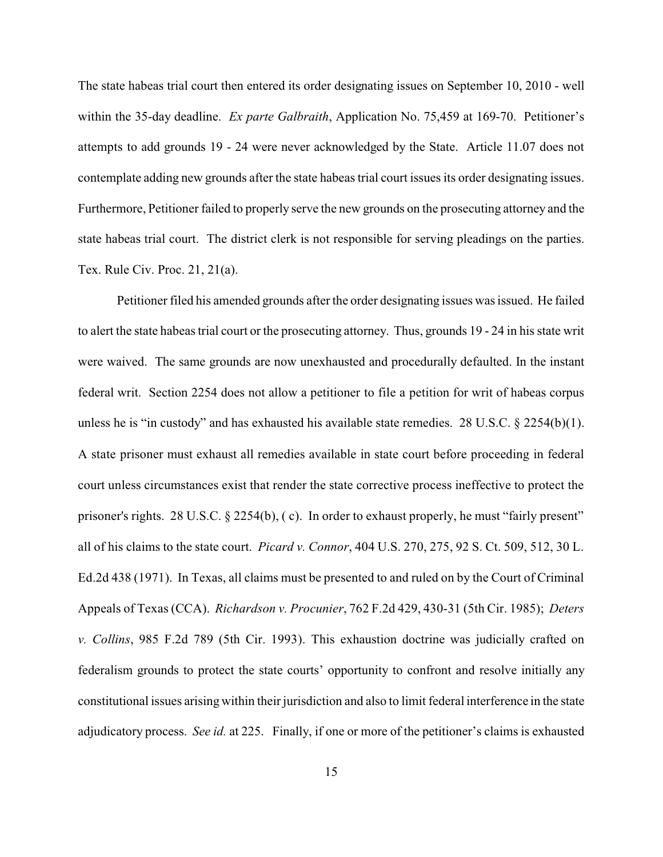The state habeas trial court then entered its order designating issues on September 10, 2010 - well within the 35-day deadline. *Ex parte Galbraith*, Application No. 75,459 at 169-70. Petitioner's attempts to add grounds 19 - 24 were never acknowledged by the State. Article 11.07 does not contemplate adding new grounds after the state habeas trial court issues its order designating issues. Furthermore, Petitioner failed to properly serve the new grounds on the prosecuting attorney and the state habeas trial court. The district clerk is not responsible for serving pleadings on the parties. Tex. Rule Civ. Proc. 21, 21(a).

Petitioner filed his amended grounds after the order designating issues was issued. He failed to alert the state habeas trial court or the prosecuting attorney. Thus, grounds 19 - 24 in his state writ were waived. The same grounds are now unexhausted and procedurally defaulted. In the instant federal writ. Section 2254 does not allow a petitioner to file a petition for writ of habeas corpus unless he is "in custody" and has exhausted his available state remedies. 28 U.S.C.  $\S$  2254(b)(1). A state prisoner must exhaust all remedies available in state court before proceeding in federal court unless circumstances exist that render the state corrective process ineffective to protect the prisoner's rights. 28 U.S.C. § 2254(b), ( c). In order to exhaust properly, he must "fairly present" all of his claims to the state court. *Picard v. Connor*, 404 U.S. 270, 275, 92 S. Ct. 509, 512, 30 L. Ed.2d 438 (1971). In Texas, all claims must be presented to and ruled on by the Court of Criminal Appeals of Texas (CCA). *Richardson v. Procunier*, 762 F.2d 429, 430-31 (5th Cir. 1985); *Deters v. Collins*, 985 F.2d 789 (5th Cir. 1993). This exhaustion doctrine was judicially crafted on federalism grounds to protect the state courts' opportunity to confront and resolve initially any constitutional issues arising within their jurisdiction and also to limit federal interference in the state adjudicatory process. *See id.* at 225. Finally, if one or more of the petitioner's claims is exhausted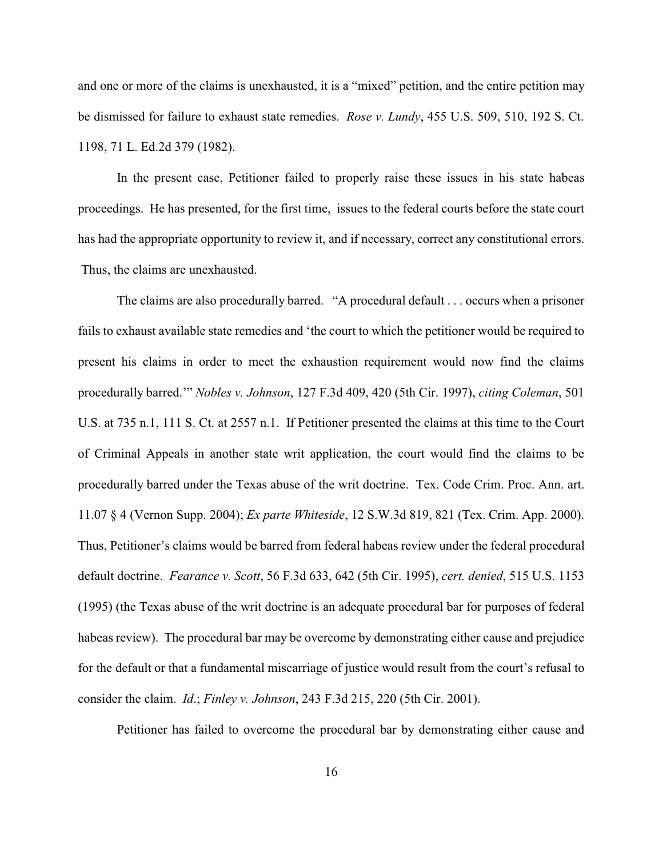and one or more of the claims is unexhausted, it is a "mixed" petition, and the entire petition may be dismissed for failure to exhaust state remedies. *Rose v. Lundy*, 455 U.S. 509, 510, 192 S. Ct. 1198, 71 L. Ed.2d 379 (1982).

In the present case, Petitioner failed to properly raise these issues in his state habeas proceedings. He has presented, for the first time, issues to the federal courts before the state court has had the appropriate opportunity to review it, and if necessary, correct any constitutional errors. Thus, the claims are unexhausted.

The claims are also procedurally barred. "A procedural default . . . occurs when a prisoner fails to exhaust available state remedies and 'the court to which the petitioner would be required to present his claims in order to meet the exhaustion requirement would now find the claims procedurally barred.'" *Nobles v. Johnson*, 127 F.3d 409, 420 (5th Cir. 1997), *citing Coleman*, 501 U.S. at 735 n.1, 111 S. Ct. at 2557 n.1. If Petitioner presented the claims at this time to the Court of Criminal Appeals in another state writ application, the court would find the claims to be procedurally barred under the Texas abuse of the writ doctrine. Tex. Code Crim. Proc. Ann. art. 11.07 § 4 (Vernon Supp. 2004); *Ex parte Whiteside*, 12 S.W.3d 819, 821 (Tex. Crim. App. 2000). Thus, Petitioner's claims would be barred from federal habeas review under the federal procedural default doctrine. *Fearance v. Scott*, 56 F.3d 633, 642 (5th Cir. 1995), *cert. denied*, 515 U.S. 1153 (1995) (the Texas abuse of the writ doctrine is an adequate procedural bar for purposes of federal habeas review). The procedural bar may be overcome by demonstrating either cause and prejudice for the default or that a fundamental miscarriage of justice would result from the court's refusal to consider the claim. *Id*.; *Finley v. Johnson*, 243 F.3d 215, 220 (5th Cir. 2001).

Petitioner has failed to overcome the procedural bar by demonstrating either cause and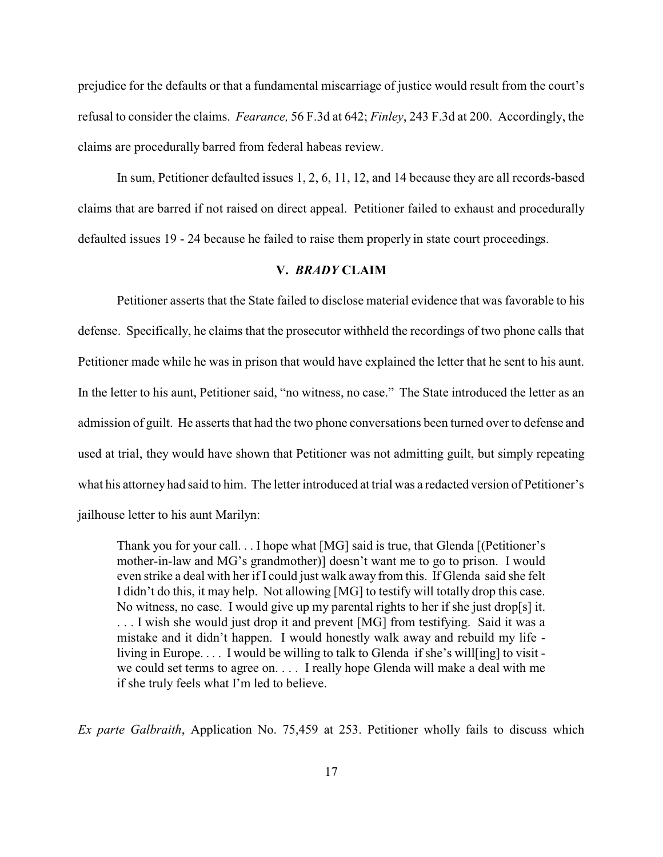prejudice for the defaults or that a fundamental miscarriage of justice would result from the court's refusal to consider the claims. *Fearance,* 56 F.3d at 642; *Finley*, 243 F.3d at 200. Accordingly, the claims are procedurally barred from federal habeas review.

In sum, Petitioner defaulted issues 1, 2, 6, 11, 12, and 14 because they are all records-based claims that are barred if not raised on direct appeal. Petitioner failed to exhaust and procedurally defaulted issues 19 - 24 because he failed to raise them properly in state court proceedings.

# **V.** *BRADY* **CLAIM**

Petitioner asserts that the State failed to disclose material evidence that was favorable to his defense. Specifically, he claims that the prosecutor withheld the recordings of two phone calls that Petitioner made while he was in prison that would have explained the letter that he sent to his aunt. In the letter to his aunt, Petitioner said, "no witness, no case." The State introduced the letter as an admission of guilt. He asserts that had the two phone conversations been turned over to defense and used at trial, they would have shown that Petitioner was not admitting guilt, but simply repeating what his attorney had said to him. The letter introduced at trial was a redacted version of Petitioner's jailhouse letter to his aunt Marilyn:

Thank you for your call. . . I hope what [MG] said is true, that Glenda [(Petitioner's mother-in-law and MG's grandmother)] doesn't want me to go to prison. I would even strike a deal with her if I could just walk away from this. If Glenda said she felt I didn't do this, it may help. Not allowing [MG] to testify will totally drop this case. No witness, no case. I would give up my parental rights to her if she just drop[s] it. . . . I wish she would just drop it and prevent [MG] from testifying. Said it was a mistake and it didn't happen. I would honestly walk away and rebuild my life living in Europe. . . . I would be willing to talk to Glenda if she's will[ing] to visit we could set terms to agree on. . . . I really hope Glenda will make a deal with me if she truly feels what I'm led to believe.

*Ex parte Galbraith*, Application No. 75,459 at 253. Petitioner wholly fails to discuss which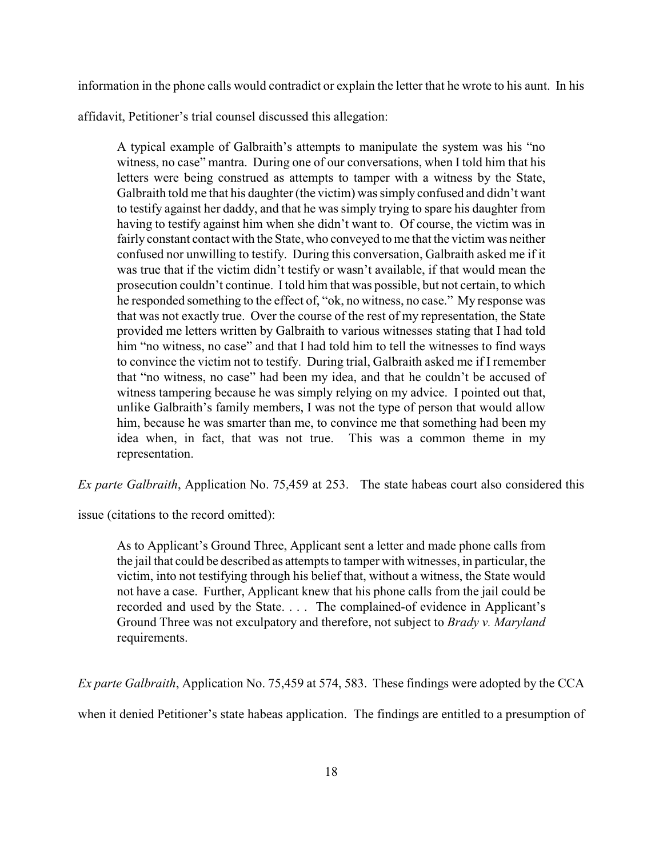information in the phone calls would contradict or explain the letter that he wrote to his aunt. In his

affidavit, Petitioner's trial counsel discussed this allegation:

A typical example of Galbraith's attempts to manipulate the system was his "no witness, no case" mantra. During one of our conversations, when I told him that his letters were being construed as attempts to tamper with a witness by the State, Galbraith told me that his daughter (the victim) was simply confused and didn't want to testify against her daddy, and that he was simply trying to spare his daughter from having to testify against him when she didn't want to. Of course, the victim was in fairly constant contact with the State, who conveyed to me that the victim was neither confused nor unwilling to testify. During this conversation, Galbraith asked me if it was true that if the victim didn't testify or wasn't available, if that would mean the prosecution couldn't continue. Itold him that was possible, but not certain, to which he responded something to the effect of, "ok, no witness, no case." My response was that was not exactly true. Over the course of the rest of my representation, the State provided me letters written by Galbraith to various witnesses stating that I had told him "no witness, no case" and that I had told him to tell the witnesses to find ways to convince the victim not to testify. During trial, Galbraith asked me if I remember that "no witness, no case" had been my idea, and that he couldn't be accused of witness tampering because he was simply relying on my advice. I pointed out that, unlike Galbraith's family members, I was not the type of person that would allow him, because he was smarter than me, to convince me that something had been my idea when, in fact, that was not true. This was a common theme in my representation.

*Ex parte Galbraith*, Application No. 75,459 at 253. The state habeas court also considered this

issue (citations to the record omitted):

As to Applicant's Ground Three, Applicant sent a letter and made phone calls from the jail that could be described as attempts to tamper with witnesses, in particular, the victim, into not testifying through his belief that, without a witness, the State would not have a case. Further, Applicant knew that his phone calls from the jail could be recorded and used by the State. . . . The complained-of evidence in Applicant's Ground Three was not exculpatory and therefore, not subject to *Brady v. Maryland* requirements.

*Ex parte Galbraith*, Application No. 75,459 at 574, 583. These findings were adopted by the CCA

when it denied Petitioner's state habeas application. The findings are entitled to a presumption of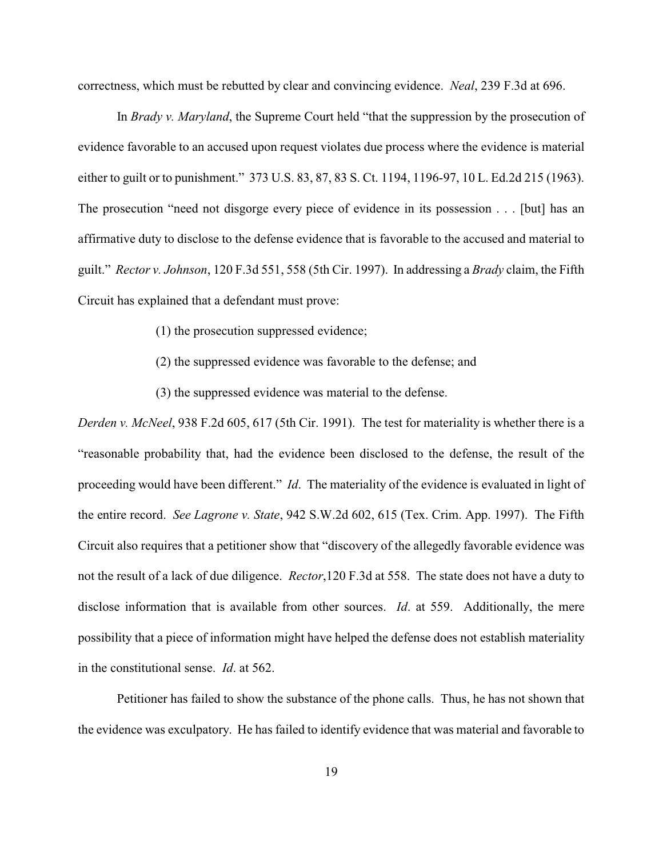correctness, which must be rebutted by clear and convincing evidence. *Neal*, 239 F.3d at 696.

In *Brady v. Maryland*, the Supreme Court held "that the suppression by the prosecution of evidence favorable to an accused upon request violates due process where the evidence is material either to guilt or to punishment." 373 U.S. 83, 87, 83 S. Ct. 1194, 1196-97, 10 L. Ed.2d 215 (1963). The prosecution "need not disgorge every piece of evidence in its possession . . . [but] has an affirmative duty to disclose to the defense evidence that is favorable to the accused and material to guilt." *Rector v. Johnson*, 120 F.3d 551, 558 (5th Cir. 1997). In addressing a *Brady* claim, the Fifth Circuit has explained that a defendant must prove:

- (1) the prosecution suppressed evidence;
- (2) the suppressed evidence was favorable to the defense; and
- (3) the suppressed evidence was material to the defense.

*Derden v. McNeel*, 938 F.2d 605, 617 (5th Cir. 1991). The test for materiality is whether there is a "reasonable probability that, had the evidence been disclosed to the defense, the result of the proceeding would have been different." *Id*. The materiality of the evidence is evaluated in light of the entire record. *See Lagrone v. State*, 942 S.W.2d 602, 615 (Tex. Crim. App. 1997). The Fifth Circuit also requires that a petitioner show that "discovery of the allegedly favorable evidence was not the result of a lack of due diligence. *Rector*,120 F.3d at 558. The state does not have a duty to disclose information that is available from other sources. *Id*. at 559. Additionally, the mere possibility that a piece of information might have helped the defense does not establish materiality in the constitutional sense. *Id*. at 562.

Petitioner has failed to show the substance of the phone calls. Thus, he has not shown that the evidence was exculpatory. He has failed to identify evidence that was material and favorable to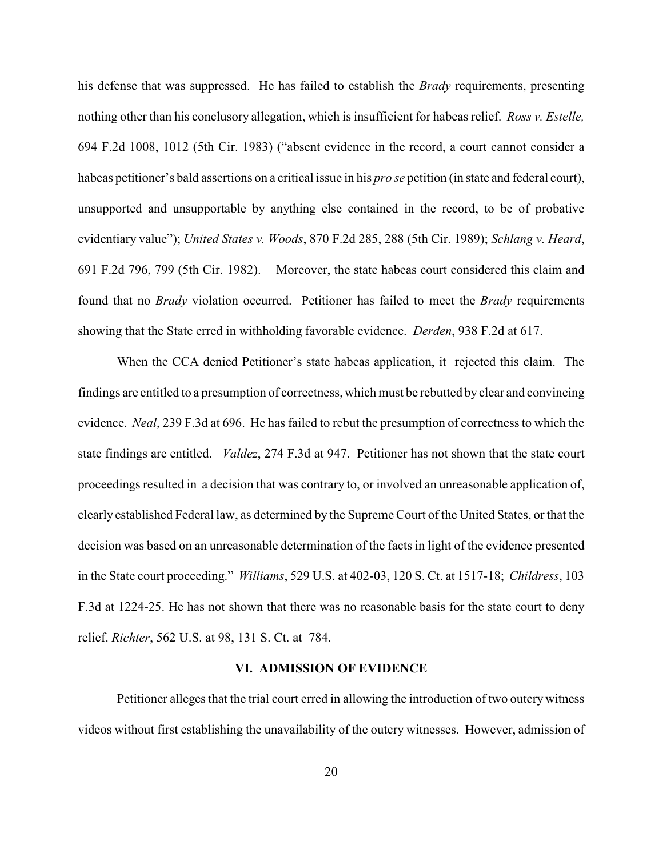his defense that was suppressed. He has failed to establish the *Brady* requirements, presenting nothing other than his conclusory allegation, which is insufficient for habeas relief. *Ross v. Estelle,* 694 F.2d 1008, 1012 (5th Cir. 1983) ("absent evidence in the record, a court cannot consider a habeas petitioner's bald assertions on a critical issue in his *pro se* petition (in state and federal court), unsupported and unsupportable by anything else contained in the record, to be of probative evidentiary value"); *United States v. Woods*, 870 F.2d 285, 288 (5th Cir. 1989); *Schlang v. Heard*, 691 F.2d 796, 799 (5th Cir. 1982). Moreover, the state habeas court considered this claim and found that no *Brady* violation occurred. Petitioner has failed to meet the *Brady* requirements showing that the State erred in withholding favorable evidence. *Derden*, 938 F.2d at 617.

When the CCA denied Petitioner's state habeas application, it rejected this claim. The findings are entitled to a presumption of correctness, which must be rebutted by clear and convincing evidence. *Neal*, 239 F.3d at 696. He has failed to rebut the presumption of correctness to which the state findings are entitled. *Valdez*, 274 F.3d at 947. Petitioner has not shown that the state court proceedings resulted in a decision that was contrary to, or involved an unreasonable application of, clearly established Federal law, as determined by the Supreme Court of the United States, or that the decision was based on an unreasonable determination of the facts in light of the evidence presented in the State court proceeding." *Williams*, 529 U.S. at 402-03, 120 S. Ct. at 1517-18; *Childress*, 103 F.3d at 1224-25. He has not shown that there was no reasonable basis for the state court to deny relief. *Richter*, 562 U.S. at 98, 131 S. Ct. at 784.

# **VI. ADMISSION OF EVIDENCE**

Petitioner alleges that the trial court erred in allowing the introduction of two outcry witness videos without first establishing the unavailability of the outcry witnesses. However, admission of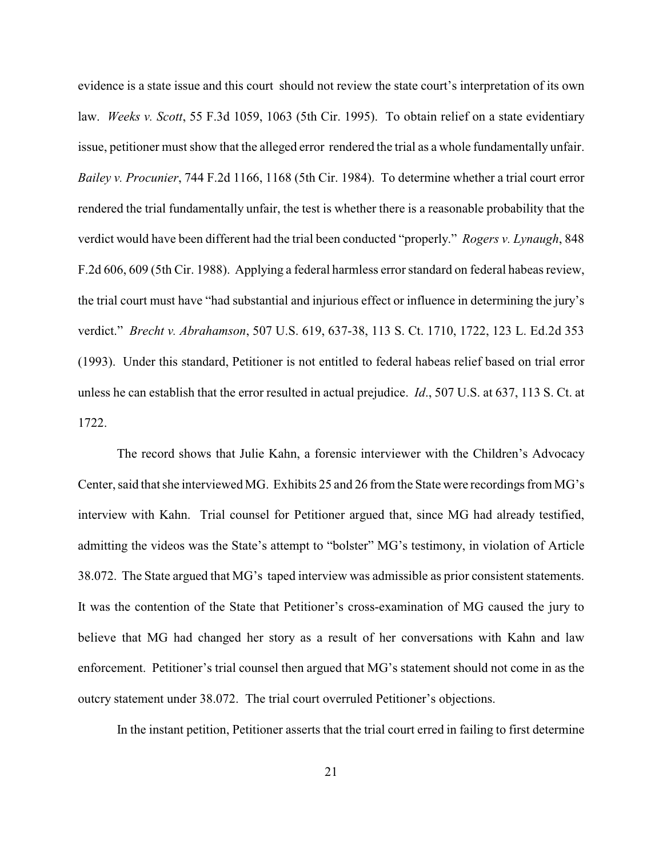evidence is a state issue and this court should not review the state court's interpretation of its own law. *Weeks v. Scott*, 55 F.3d 1059, 1063 (5th Cir. 1995). To obtain relief on a state evidentiary issue, petitioner must show that the alleged error rendered the trial as a whole fundamentally unfair. *Bailey v. Procunier*, 744 F.2d 1166, 1168 (5th Cir. 1984). To determine whether a trial court error rendered the trial fundamentally unfair, the test is whether there is a reasonable probability that the verdict would have been different had the trial been conducted "properly." *Rogers v. Lynaugh*, 848 F.2d 606, 609 (5th Cir. 1988). Applying a federal harmless error standard on federal habeas review, the trial court must have "had substantial and injurious effect or influence in determining the jury's verdict." *Brecht v. Abrahamson*, 507 U.S. 619, 637-38, 113 S. Ct. 1710, 1722, 123 L. Ed.2d 353 (1993). Under this standard, Petitioner is not entitled to federal habeas relief based on trial error unless he can establish that the error resulted in actual prejudice. *Id*., 507 U.S. at 637, 113 S. Ct. at 1722.

The record shows that Julie Kahn, a forensic interviewer with the Children's Advocacy Center, said that she interviewed MG. Exhibits 25 and 26 from the State were recordings from MG's interview with Kahn. Trial counsel for Petitioner argued that, since MG had already testified, admitting the videos was the State's attempt to "bolster" MG's testimony, in violation of Article 38.072. The State argued that MG's taped interview was admissible as prior consistent statements. It was the contention of the State that Petitioner's cross-examination of MG caused the jury to believe that MG had changed her story as a result of her conversations with Kahn and law enforcement. Petitioner's trial counsel then argued that MG's statement should not come in as the outcry statement under 38.072. The trial court overruled Petitioner's objections.

In the instant petition, Petitioner asserts that the trial court erred in failing to first determine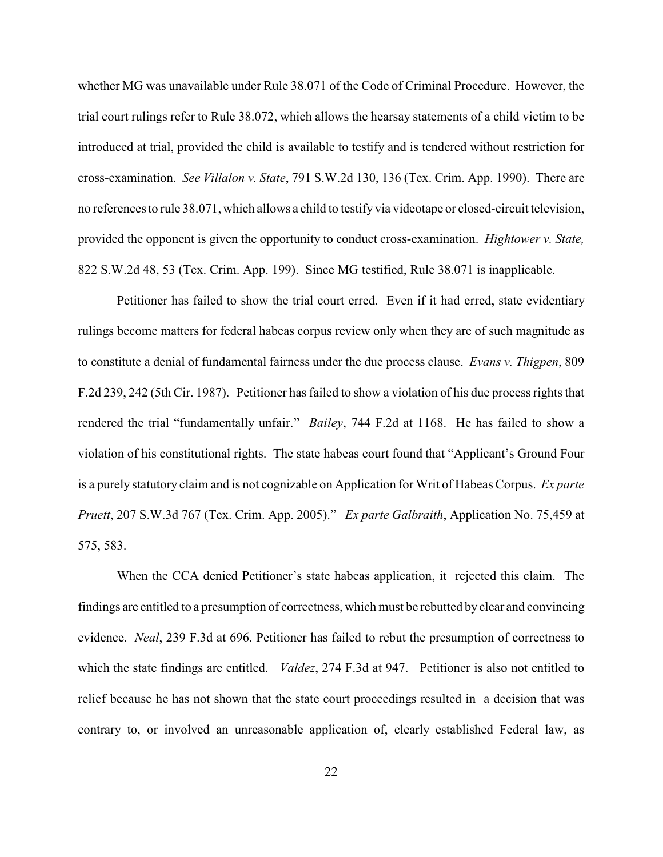whether MG was unavailable under Rule 38.071 of the Code of Criminal Procedure. However, the trial court rulings refer to Rule 38.072, which allows the hearsay statements of a child victim to be introduced at trial, provided the child is available to testify and is tendered without restriction for cross-examination. *See Villalon v. State*, 791 S.W.2d 130, 136 (Tex. Crim. App. 1990). There are no references to rule 38.071, which allows a child to testify via videotape or closed-circuit television, provided the opponent is given the opportunity to conduct cross-examination. *Hightower v. State,* 822 S.W.2d 48, 53 (Tex. Crim. App. 199). Since MG testified, Rule 38.071 is inapplicable.

Petitioner has failed to show the trial court erred. Even if it had erred, state evidentiary rulings become matters for federal habeas corpus review only when they are of such magnitude as to constitute a denial of fundamental fairness under the due process clause. *Evans v. Thigpen*, 809 F.2d 239, 242 (5th Cir. 1987). Petitioner has failed to show a violation of his due process rights that rendered the trial "fundamentally unfair." *Bailey*, 744 F.2d at 1168. He has failed to show a violation of his constitutional rights. The state habeas court found that "Applicant's Ground Four is a purely statutory claim and is not cognizable on Application for Writ of Habeas Corpus. *Ex parte Pruett*, 207 S.W.3d 767 (Tex. Crim. App. 2005)." *Ex parte Galbraith*, Application No. 75,459 at 575, 583.

When the CCA denied Petitioner's state habeas application, it rejected this claim. The findings are entitled to a presumption of correctness, which must be rebutted byclear and convincing evidence. *Neal*, 239 F.3d at 696. Petitioner has failed to rebut the presumption of correctness to which the state findings are entitled. *Valdez*, 274 F.3d at 947. Petitioner is also not entitled to relief because he has not shown that the state court proceedings resulted in a decision that was contrary to, or involved an unreasonable application of, clearly established Federal law, as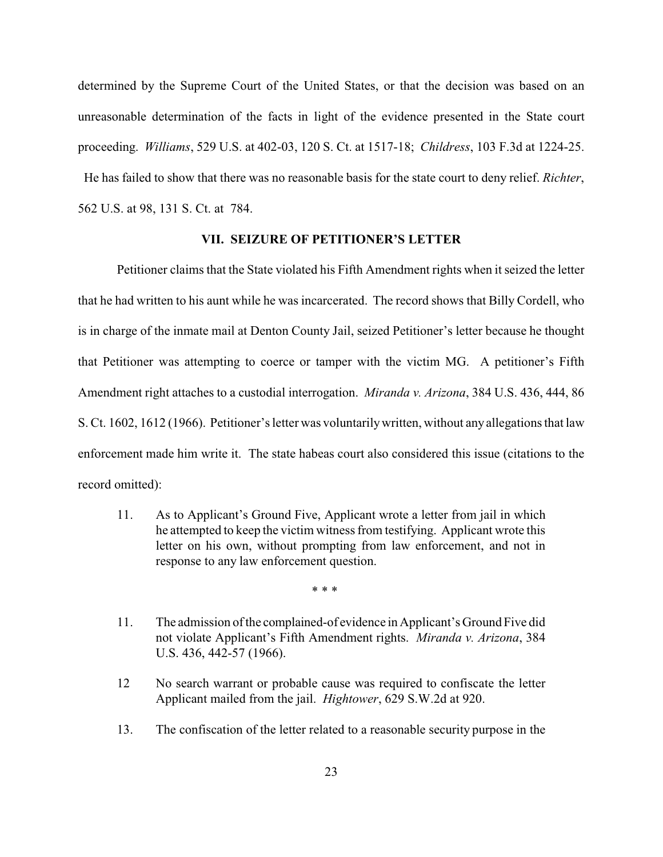determined by the Supreme Court of the United States, or that the decision was based on an unreasonable determination of the facts in light of the evidence presented in the State court proceeding. *Williams*, 529 U.S. at 402-03, 120 S. Ct. at 1517-18; *Childress*, 103 F.3d at 1224-25. He has failed to show that there was no reasonable basis for the state court to deny relief. *Richter*, 562 U.S. at 98, 131 S. Ct. at 784.

# **VII. SEIZURE OF PETITIONER'S LETTER**

Petitioner claims that the State violated his Fifth Amendment rights when it seized the letter that he had written to his aunt while he was incarcerated. The record shows that Billy Cordell, who is in charge of the inmate mail at Denton County Jail, seized Petitioner's letter because he thought that Petitioner was attempting to coerce or tamper with the victim MG. A petitioner's Fifth Amendment right attaches to a custodial interrogation. *Miranda v. Arizona*, 384 U.S. 436, 444, 86 S. Ct. 1602, 1612 (1966). Petitioner's letter was voluntarilywritten, without any allegations that law enforcement made him write it. The state habeas court also considered this issue (citations to the record omitted):

11. As to Applicant's Ground Five, Applicant wrote a letter from jail in which he attempted to keep the victim witness from testifying. Applicant wrote this letter on his own, without prompting from law enforcement, and not in response to any law enforcement question.

\* \* \*

- 11. The admission of the complained-of evidence in Applicant's Ground Five did not violate Applicant's Fifth Amendment rights. *Miranda v. Arizona*, 384 U.S. 436, 442-57 (1966).
- 12 No search warrant or probable cause was required to confiscate the letter Applicant mailed from the jail. *Hightower*, 629 S.W.2d at 920.
- 13. The confiscation of the letter related to a reasonable security purpose in the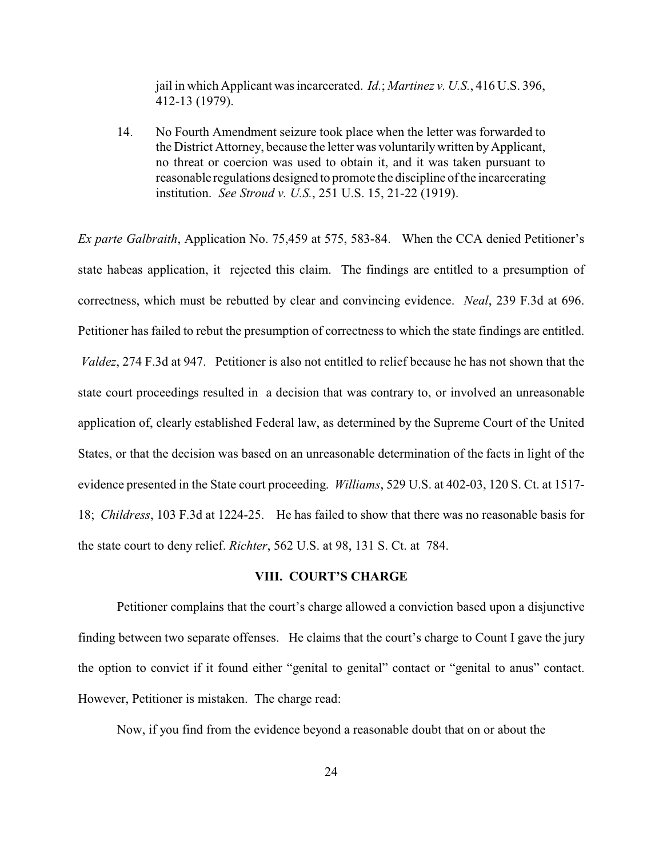jail in which Applicant was incarcerated. *Id.*; *Martinez v. U.S.*, 416 U.S. 396, 412-13 (1979).

14. No Fourth Amendment seizure took place when the letter was forwarded to the District Attorney, because the letter was voluntarily written by Applicant, no threat or coercion was used to obtain it, and it was taken pursuant to reasonable regulations designed to promote the discipline of the incarcerating institution. *See Stroud v. U.S.*, 251 U.S. 15, 21-22 (1919).

*Ex parte Galbraith*, Application No. 75,459 at 575, 583-84. When the CCA denied Petitioner's state habeas application, it rejected this claim. The findings are entitled to a presumption of correctness, which must be rebutted by clear and convincing evidence. *Neal*, 239 F.3d at 696. Petitioner has failed to rebut the presumption of correctness to which the state findings are entitled. *Valdez*, 274 F.3d at 947. Petitioner is also not entitled to relief because he has not shown that the state court proceedings resulted in a decision that was contrary to, or involved an unreasonable application of, clearly established Federal law, as determined by the Supreme Court of the United States, or that the decision was based on an unreasonable determination of the facts in light of the evidence presented in the State court proceeding. *Williams*, 529 U.S. at 402-03, 120 S. Ct. at 1517- 18; *Childress*, 103 F.3d at 1224-25. He has failed to show that there was no reasonable basis for the state court to deny relief. *Richter*, 562 U.S. at 98, 131 S. Ct. at 784.

#### **VIII. COURT'S CHARGE**

Petitioner complains that the court's charge allowed a conviction based upon a disjunctive finding between two separate offenses. He claims that the court's charge to Count I gave the jury the option to convict if it found either "genital to genital" contact or "genital to anus" contact. However, Petitioner is mistaken. The charge read:

Now, if you find from the evidence beyond a reasonable doubt that on or about the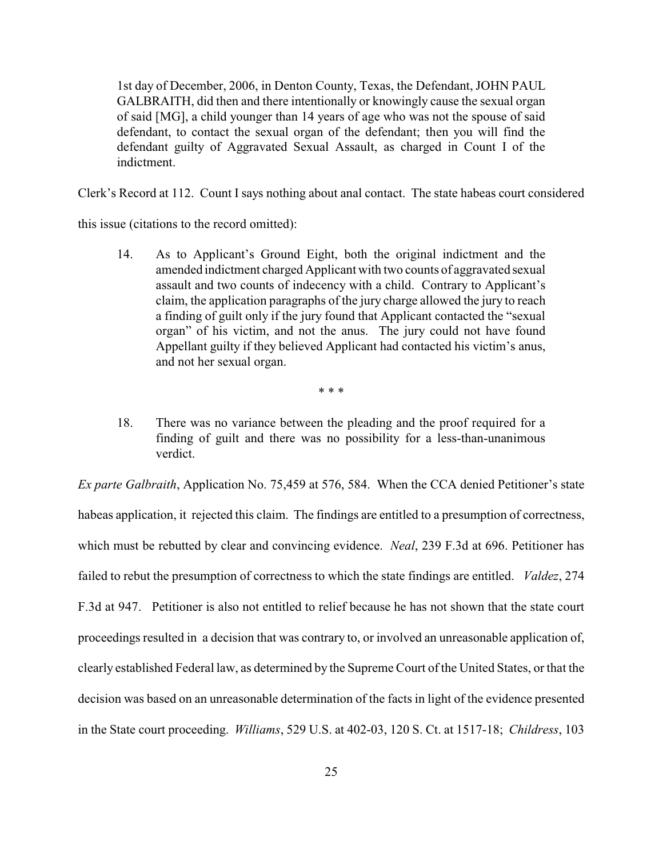1st day of December, 2006, in Denton County, Texas, the Defendant, JOHN PAUL GALBRAITH, did then and there intentionally or knowingly cause the sexual organ of said [MG], a child younger than 14 years of age who was not the spouse of said defendant, to contact the sexual organ of the defendant; then you will find the defendant guilty of Aggravated Sexual Assault, as charged in Count I of the indictment.

Clerk's Record at 112. Count I says nothing about anal contact. The state habeas court considered

this issue (citations to the record omitted):

14. As to Applicant's Ground Eight, both the original indictment and the amended indictment charged Applicant with two counts of aggravated sexual assault and two counts of indecency with a child. Contrary to Applicant's claim, the application paragraphs of the jury charge allowed the jury to reach a finding of guilt only if the jury found that Applicant contacted the "sexual organ" of his victim, and not the anus. The jury could not have found Appellant guilty if they believed Applicant had contacted his victim's anus, and not her sexual organ.

\* \* \*

18. There was no variance between the pleading and the proof required for a finding of guilt and there was no possibility for a less-than-unanimous verdict.

*Ex parte Galbraith*, Application No. 75,459 at 576, 584. When the CCA denied Petitioner's state habeas application, it rejected this claim. The findings are entitled to a presumption of correctness, which must be rebutted by clear and convincing evidence. *Neal*, 239 F.3d at 696. Petitioner has failed to rebut the presumption of correctness to which the state findings are entitled. *Valdez*, 274 F.3d at 947. Petitioner is also not entitled to relief because he has not shown that the state court proceedings resulted in a decision that was contrary to, or involved an unreasonable application of, clearly established Federal law, as determined by the Supreme Court of the United States, or that the decision was based on an unreasonable determination of the facts in light of the evidence presented in the State court proceeding. *Williams*, 529 U.S. at 402-03, 120 S. Ct. at 1517-18; *Childress*, 103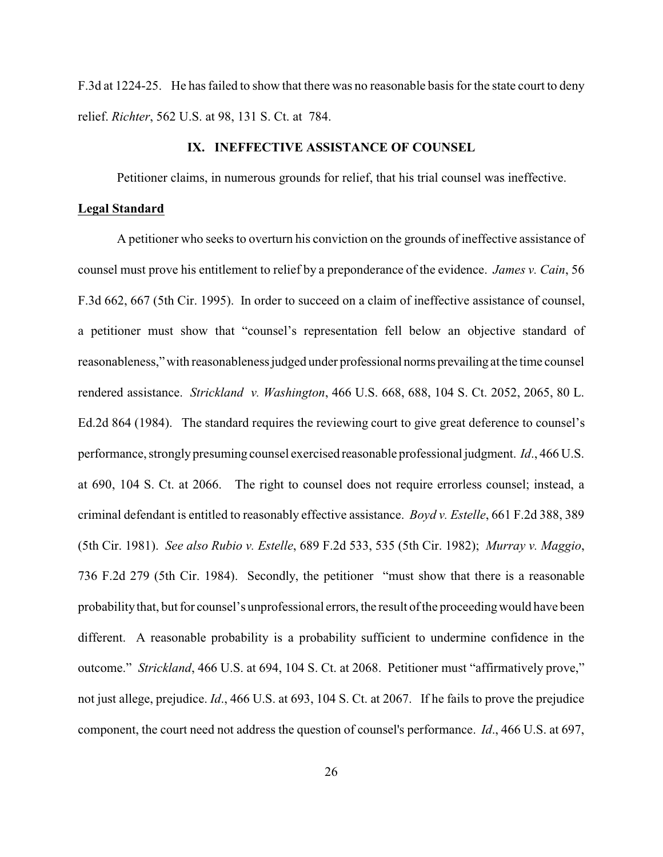F.3d at 1224-25. He has failed to show that there was no reasonable basis for the state court to deny relief. *Richter*, 562 U.S. at 98, 131 S. Ct. at 784.

#### **IX. INEFFECTIVE ASSISTANCE OF COUNSEL**

Petitioner claims, in numerous grounds for relief, that his trial counsel was ineffective.

### **Legal Standard**

A petitioner who seeks to overturn his conviction on the grounds of ineffective assistance of counsel must prove his entitlement to relief by a preponderance of the evidence. *James v. Cain*, 56 F.3d 662, 667 (5th Cir. 1995). In order to succeed on a claim of ineffective assistance of counsel, a petitioner must show that "counsel's representation fell below an objective standard of reasonableness," with reasonableness judged under professional norms prevailing at the time counsel rendered assistance. *Strickland v. Washington*, 466 U.S. 668, 688, 104 S. Ct. 2052, 2065, 80 L. Ed.2d 864 (1984). The standard requires the reviewing court to give great deference to counsel's performance, stronglypresuming counsel exercised reasonable professional judgment. *Id*., 466 U.S. at 690, 104 S. Ct. at 2066. The right to counsel does not require errorless counsel; instead, a criminal defendant is entitled to reasonably effective assistance. *Boyd v. Estelle*, 661 F.2d 388, 389 (5th Cir. 1981). *See also Rubio v. Estelle*, 689 F.2d 533, 535 (5th Cir. 1982); *Murray v. Maggio*, 736 F.2d 279 (5th Cir. 1984). Secondly, the petitioner "must show that there is a reasonable probabilitythat, but for counsel's unprofessional errors, the result of the proceedingwould have been different. A reasonable probability is a probability sufficient to undermine confidence in the outcome." *Strickland*, 466 U.S. at 694, 104 S. Ct. at 2068. Petitioner must "affirmatively prove," not just allege, prejudice. *Id*., 466 U.S. at 693, 104 S. Ct. at 2067. If he fails to prove the prejudice component, the court need not address the question of counsel's performance. *Id*., 466 U.S. at 697,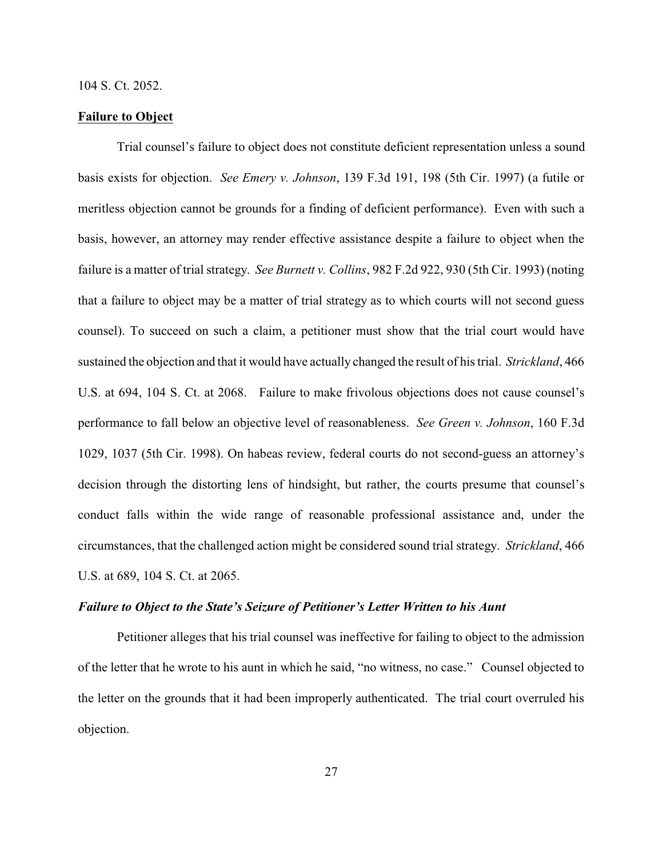#### 104 S. Ct. 2052.

#### **Failure to Object**

Trial counsel's failure to object does not constitute deficient representation unless a sound basis exists for objection. *See Emery v. Johnson*, 139 F.3d 191, 198 (5th Cir. 1997) (a futile or meritless objection cannot be grounds for a finding of deficient performance). Even with such a basis, however, an attorney may render effective assistance despite a failure to object when the failure is a matter of trial strategy. *See Burnett v. Collins*, 982 F.2d 922, 930 (5th Cir. 1993) (noting that a failure to object may be a matter of trial strategy as to which courts will not second guess counsel). To succeed on such a claim, a petitioner must show that the trial court would have sustained the objection and that it would have actually changed the result of his trial. *Strickland*, 466 U.S. at 694, 104 S. Ct. at 2068. Failure to make frivolous objections does not cause counsel's performance to fall below an objective level of reasonableness. *See Green v. Johnson*, 160 F.3d 1029, 1037 (5th Cir. 1998). On habeas review, federal courts do not second-guess an attorney's decision through the distorting lens of hindsight, but rather, the courts presume that counsel's conduct falls within the wide range of reasonable professional assistance and, under the circumstances, that the challenged action might be considered sound trial strategy. *Strickland*, 466 U.S. at 689, 104 S. Ct. at 2065.

## *Failure to Object to the State's Seizure of Petitioner's Letter Written to his Aunt*

Petitioner alleges that his trial counsel was ineffective for failing to object to the admission of the letter that he wrote to his aunt in which he said, "no witness, no case." Counsel objected to the letter on the grounds that it had been improperly authenticated. The trial court overruled his objection.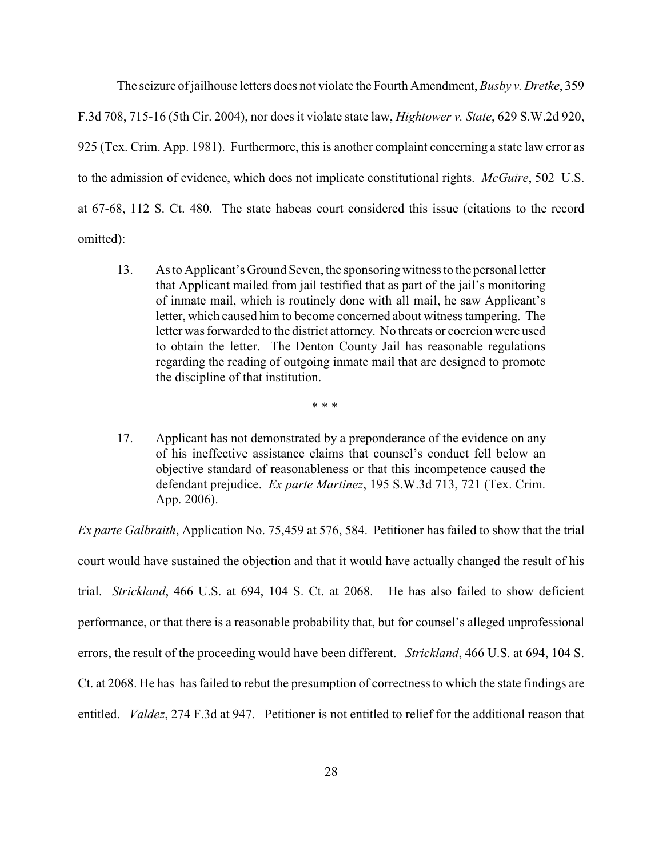The seizure of jailhouse letters does not violate the Fourth Amendment, *Busby v. Dretke*, 359 F.3d 708, 715-16 (5th Cir. 2004), nor does it violate state law, *Hightower v. State*, 629 S.W.2d 920, 925 (Tex. Crim. App. 1981). Furthermore, this is another complaint concerning a state law error as to the admission of evidence, which does not implicate constitutional rights. *McGuire*, 502 U.S. at 67-68, 112 S. Ct. 480. The state habeas court considered this issue (citations to the record omitted):

13. As to Applicant's Ground Seven, the sponsoringwitness to the personal letter that Applicant mailed from jail testified that as part of the jail's monitoring of inmate mail, which is routinely done with all mail, he saw Applicant's letter, which caused him to become concerned about witness tampering. The letter was forwarded to the district attorney. No threats or coercion were used to obtain the letter. The Denton County Jail has reasonable regulations regarding the reading of outgoing inmate mail that are designed to promote the discipline of that institution.

\* \* \*

17. Applicant has not demonstrated by a preponderance of the evidence on any of his ineffective assistance claims that counsel's conduct fell below an objective standard of reasonableness or that this incompetence caused the defendant prejudice. *Ex parte Martinez*, 195 S.W.3d 713, 721 (Tex. Crim. App. 2006).

*Ex parte Galbraith*, Application No. 75,459 at 576, 584. Petitioner has failed to show that the trial court would have sustained the objection and that it would have actually changed the result of his trial. *Strickland*, 466 U.S. at 694, 104 S. Ct. at 2068. He has also failed to show deficient performance, or that there is a reasonable probability that, but for counsel's alleged unprofessional errors, the result of the proceeding would have been different. *Strickland*, 466 U.S. at 694, 104 S. Ct. at 2068. He has has failed to rebut the presumption of correctness to which the state findings are entitled. *Valdez*, 274 F.3d at 947. Petitioner is not entitled to relief for the additional reason that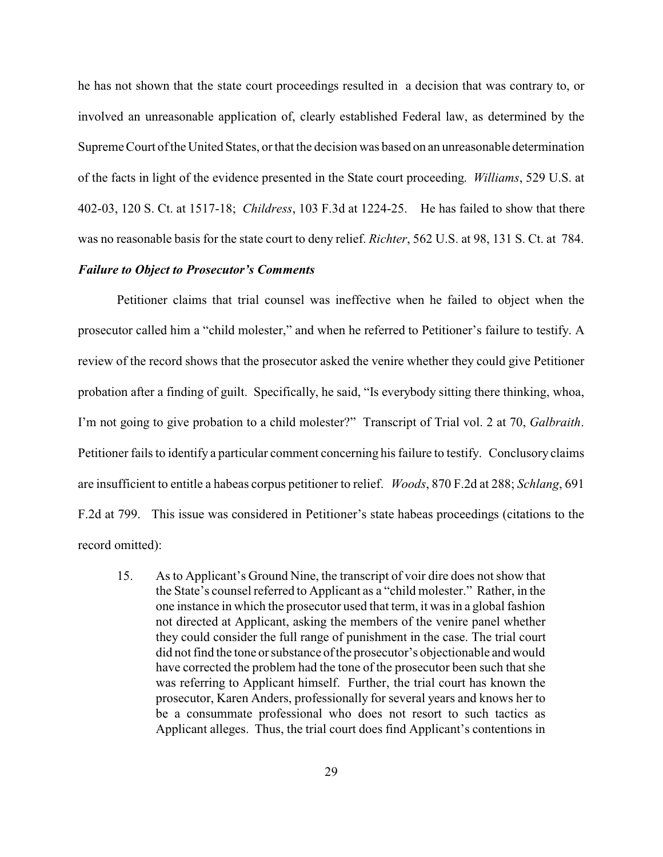he has not shown that the state court proceedings resulted in a decision that was contrary to, or involved an unreasonable application of, clearly established Federal law, as determined by the Supreme Court of the United States, or that the decision was based on an unreasonable determination of the facts in light of the evidence presented in the State court proceeding. *Williams*, 529 U.S. at 402-03, 120 S. Ct. at 1517-18; *Childress*, 103 F.3d at 1224-25. He has failed to show that there was no reasonable basis for the state court to deny relief. *Richter*, 562 U.S. at 98, 131 S. Ct. at 784.

# *Failure to Object to Prosecutor's Comments*

Petitioner claims that trial counsel was ineffective when he failed to object when the prosecutor called him a "child molester," and when he referred to Petitioner's failure to testify. A review of the record shows that the prosecutor asked the venire whether they could give Petitioner probation after a finding of guilt. Specifically, he said, "Is everybody sitting there thinking, whoa, I'm not going to give probation to a child molester?" Transcript of Trial vol. 2 at 70, *Galbraith*. Petitioner fails to identify a particular comment concerning his failure to testify. Conclusory claims are insufficient to entitle a habeas corpus petitioner to relief. *Woods*, 870 F.2d at 288; *Schlang*, 691 F.2d at 799. This issue was considered in Petitioner's state habeas proceedings (citations to the record omitted):

15. As to Applicant's Ground Nine, the transcript of voir dire does not show that the State's counsel referred to Applicant as a "child molester." Rather, in the one instance in which the prosecutor used that term, it was in a global fashion not directed at Applicant, asking the members of the venire panel whether they could consider the full range of punishment in the case. The trial court did not find the tone orsubstance of the prosecutor's objectionable and would have corrected the problem had the tone of the prosecutor been such that she was referring to Applicant himself. Further, the trial court has known the prosecutor, Karen Anders, professionally for several years and knows her to be a consummate professional who does not resort to such tactics as Applicant alleges. Thus, the trial court does find Applicant's contentions in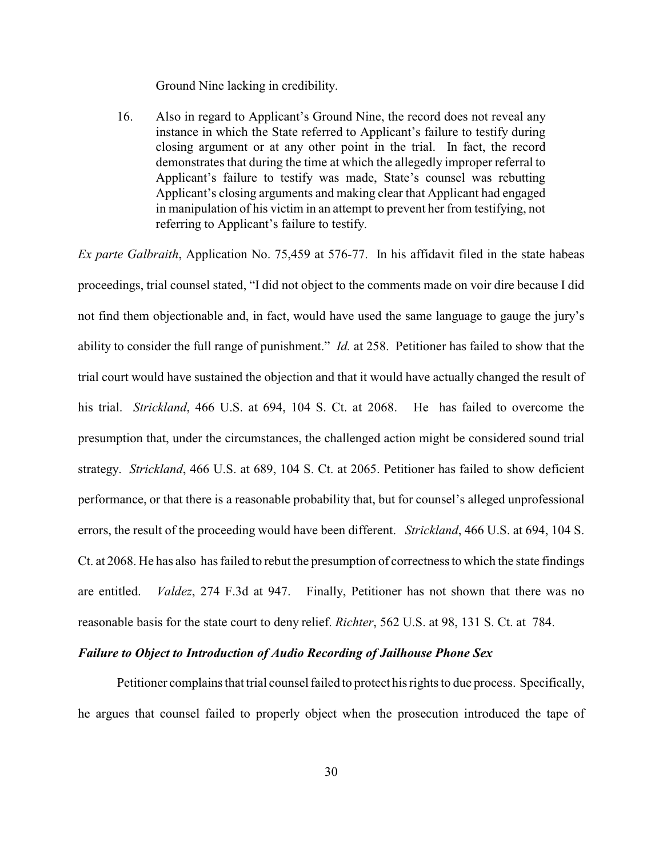Ground Nine lacking in credibility.

16. Also in regard to Applicant's Ground Nine, the record does not reveal any instance in which the State referred to Applicant's failure to testify during closing argument or at any other point in the trial. In fact, the record demonstrates that during the time at which the allegedly improper referral to Applicant's failure to testify was made, State's counsel was rebutting Applicant's closing arguments and making clear that Applicant had engaged in manipulation of his victim in an attempt to prevent her from testifying, not referring to Applicant's failure to testify.

*Ex parte Galbraith*, Application No. 75,459 at 576-77. In his affidavit filed in the state habeas proceedings, trial counsel stated, "I did not object to the comments made on voir dire because I did not find them objectionable and, in fact, would have used the same language to gauge the jury's ability to consider the full range of punishment." *Id.* at 258. Petitioner has failed to show that the trial court would have sustained the objection and that it would have actually changed the result of his trial. *Strickland*, 466 U.S. at 694, 104 S. Ct. at 2068. He has failed to overcome the presumption that, under the circumstances, the challenged action might be considered sound trial strategy. *Strickland*, 466 U.S. at 689, 104 S. Ct. at 2065. Petitioner has failed to show deficient performance, or that there is a reasonable probability that, but for counsel's alleged unprofessional errors, the result of the proceeding would have been different. *Strickland*, 466 U.S. at 694, 104 S. Ct. at 2068. He has also has failed to rebut the presumption of correctness to which the state findings are entitled. *Valdez*, 274 F.3d at 947. Finally, Petitioner has not shown that there was no reasonable basis for the state court to deny relief. *Richter*, 562 U.S. at 98, 131 S. Ct. at 784.

# *Failure to Object to Introduction of Audio Recording of Jailhouse Phone Sex*

Petitioner complains that trial counsel failed to protect his rights to due process. Specifically, he argues that counsel failed to properly object when the prosecution introduced the tape of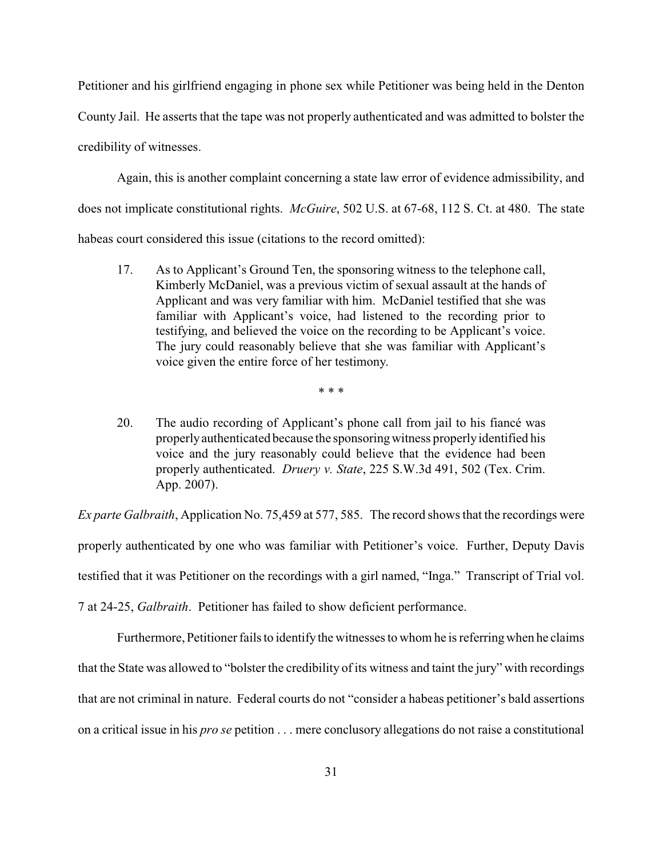Petitioner and his girlfriend engaging in phone sex while Petitioner was being held in the Denton County Jail. He asserts that the tape was not properly authenticated and was admitted to bolster the credibility of witnesses.

Again, this is another complaint concerning a state law error of evidence admissibility, and does not implicate constitutional rights. *McGuire*, 502 U.S. at 67-68, 112 S. Ct. at 480. The state habeas court considered this issue (citations to the record omitted):

17. As to Applicant's Ground Ten, the sponsoring witness to the telephone call, Kimberly McDaniel, was a previous victim of sexual assault at the hands of Applicant and was very familiar with him. McDaniel testified that she was familiar with Applicant's voice, had listened to the recording prior to testifying, and believed the voice on the recording to be Applicant's voice. The jury could reasonably believe that she was familiar with Applicant's voice given the entire force of her testimony.

\* \* \*

20. The audio recording of Applicant's phone call from jail to his fiancé was properlyauthenticated because the sponsoringwitness properlyidentified his voice and the jury reasonably could believe that the evidence had been properly authenticated. *Druery v. State*, 225 S.W.3d 491, 502 (Tex. Crim. App. 2007).

*Ex parte Galbraith*, Application No. 75,459 at 577, 585. The record shows that the recordings were properly authenticated by one who was familiar with Petitioner's voice. Further, Deputy Davis testified that it was Petitioner on the recordings with a girl named, "Inga." Transcript of Trial vol. 7 at 24-25, *Galbraith*. Petitioner has failed to show deficient performance.

Furthermore, Petitioner fails to identify the witnesses to whom he is referring when he claims that the State was allowed to "bolster the credibility of its witness and taint the jury" with recordings that are not criminal in nature. Federal courts do not "consider a habeas petitioner's bald assertions on a critical issue in his *pro se* petition . . . mere conclusory allegations do not raise a constitutional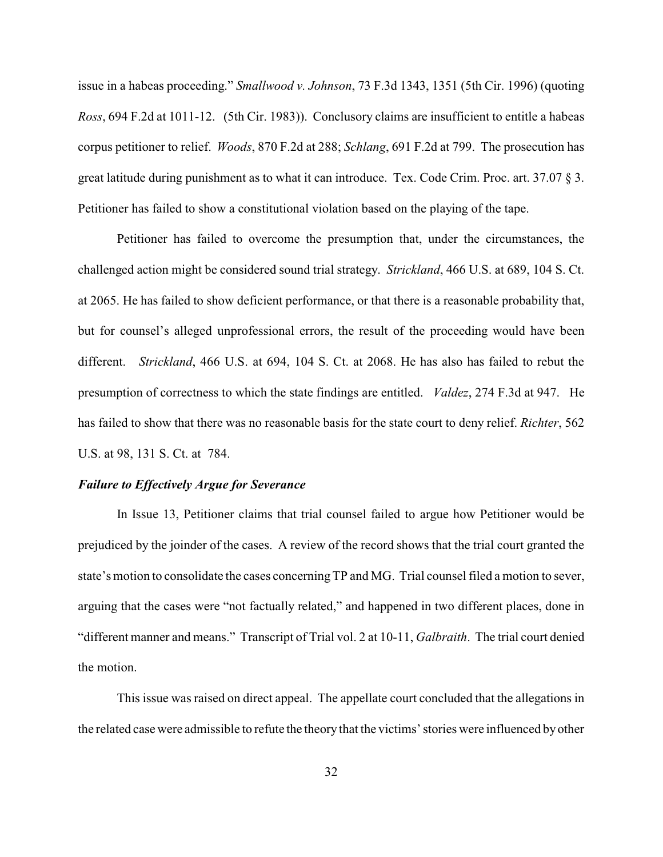issue in a habeas proceeding." *Smallwood v. Johnson*, 73 F.3d 1343, 1351 (5th Cir. 1996) (quoting *Ross*, 694 F.2d at 1011-12. (5th Cir. 1983)). Conclusory claims are insufficient to entitle a habeas corpus petitioner to relief. *Woods*, 870 F.2d at 288; *Schlang*, 691 F.2d at 799. The prosecution has great latitude during punishment as to what it can introduce. Tex. Code Crim. Proc. art. 37.07 § 3. Petitioner has failed to show a constitutional violation based on the playing of the tape.

Petitioner has failed to overcome the presumption that, under the circumstances, the challenged action might be considered sound trial strategy. *Strickland*, 466 U.S. at 689, 104 S. Ct. at 2065. He has failed to show deficient performance, or that there is a reasonable probability that, but for counsel's alleged unprofessional errors, the result of the proceeding would have been different. *Strickland*, 466 U.S. at 694, 104 S. Ct. at 2068. He has also has failed to rebut the presumption of correctness to which the state findings are entitled. *Valdez*, 274 F.3d at 947. He has failed to show that there was no reasonable basis for the state court to deny relief. *Richter*, 562 U.S. at 98, 131 S. Ct. at 784.

## *Failure to Effectively Argue for Severance*

In Issue 13, Petitioner claims that trial counsel failed to argue how Petitioner would be prejudiced by the joinder of the cases. A review of the record shows that the trial court granted the state's motion to consolidate the cases concerningTP and MG. Trial counsel filed a motion to sever, arguing that the cases were "not factually related," and happened in two different places, done in "different manner and means." Transcript of Trial vol. 2 at 10-11, *Galbraith*. The trial court denied the motion.

This issue was raised on direct appeal. The appellate court concluded that the allegations in the related case were admissible to refute the theory that the victims' stories were influenced by other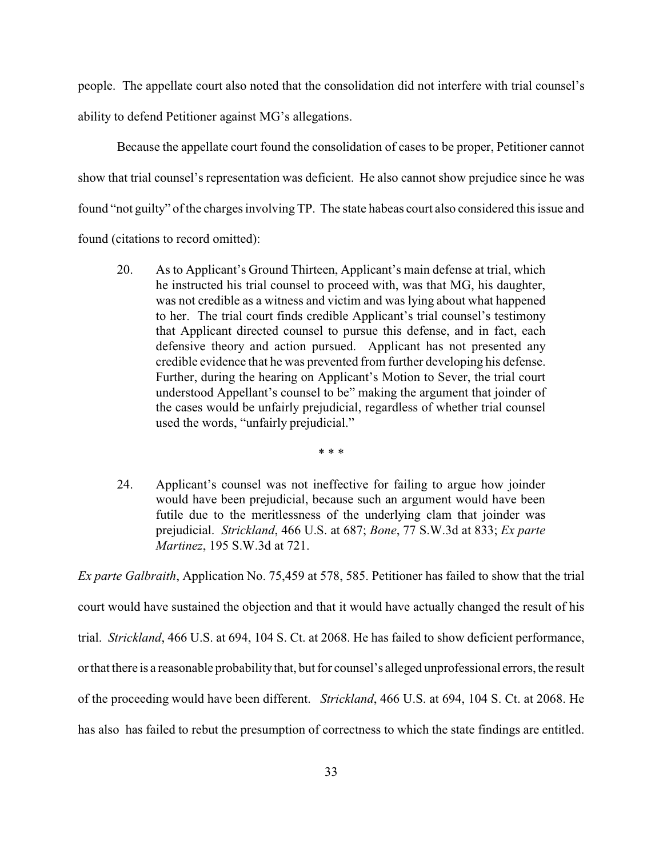people. The appellate court also noted that the consolidation did not interfere with trial counsel's ability to defend Petitioner against MG's allegations.

Because the appellate court found the consolidation of cases to be proper, Petitioner cannot show that trial counsel's representation was deficient. He also cannot show prejudice since he was found "not guilty" of the charges involving TP. The state habeas court also considered this issue and found (citations to record omitted):

20. As to Applicant's Ground Thirteen, Applicant's main defense at trial, which he instructed his trial counsel to proceed with, was that MG, his daughter, was not credible as a witness and victim and was lying about what happened to her. The trial court finds credible Applicant's trial counsel's testimony that Applicant directed counsel to pursue this defense, and in fact, each defensive theory and action pursued. Applicant has not presented any credible evidence that he was prevented from further developing his defense. Further, during the hearing on Applicant's Motion to Sever, the trial court understood Appellant's counsel to be" making the argument that joinder of the cases would be unfairly prejudicial, regardless of whether trial counsel used the words, "unfairly prejudicial."

\* \* \*

24. Applicant's counsel was not ineffective for failing to argue how joinder would have been prejudicial, because such an argument would have been futile due to the meritlessness of the underlying clam that joinder was prejudicial. *Strickland*, 466 U.S. at 687; *Bone*, 77 S.W.3d at 833; *Ex parte Martinez*, 195 S.W.3d at 721.

*Ex parte Galbraith*, Application No. 75,459 at 578, 585. Petitioner has failed to show that the trial court would have sustained the objection and that it would have actually changed the result of his trial. *Strickland*, 466 U.S. at 694, 104 S. Ct. at 2068. He has failed to show deficient performance, orthat there is a reasonable probabilitythat, but for counsel's alleged unprofessional errors, the result of the proceeding would have been different. *Strickland*, 466 U.S. at 694, 104 S. Ct. at 2068. He has also has failed to rebut the presumption of correctness to which the state findings are entitled.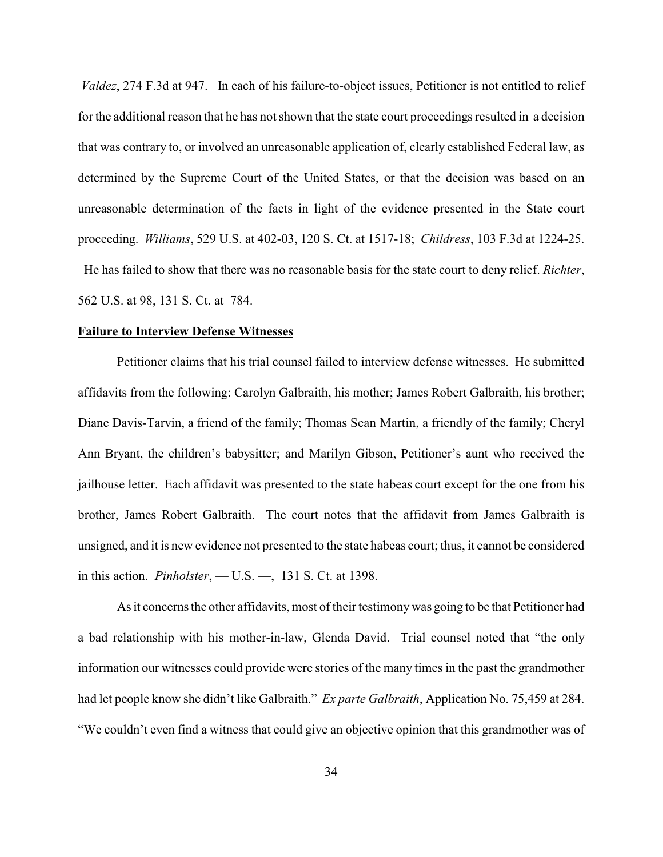*Valdez*, 274 F.3d at 947. In each of his failure-to-object issues, Petitioner is not entitled to relief for the additional reason that he has not shown that the state court proceedings resulted in a decision that was contrary to, or involved an unreasonable application of, clearly established Federal law, as determined by the Supreme Court of the United States, or that the decision was based on an unreasonable determination of the facts in light of the evidence presented in the State court proceeding. *Williams*, 529 U.S. at 402-03, 120 S. Ct. at 1517-18; *Childress*, 103 F.3d at 1224-25. He has failed to show that there was no reasonable basis for the state court to deny relief. *Richter*, 562 U.S. at 98, 131 S. Ct. at 784.

#### **Failure to Interview Defense Witnesses**

Petitioner claims that his trial counsel failed to interview defense witnesses. He submitted affidavits from the following: Carolyn Galbraith, his mother; James Robert Galbraith, his brother; Diane Davis-Tarvin, a friend of the family; Thomas Sean Martin, a friendly of the family; Cheryl Ann Bryant, the children's babysitter; and Marilyn Gibson, Petitioner's aunt who received the jailhouse letter. Each affidavit was presented to the state habeas court except for the one from his brother, James Robert Galbraith. The court notes that the affidavit from James Galbraith is unsigned, and it is new evidence not presented to the state habeas court; thus, it cannot be considered in this action. *Pinholster*, — U.S. —, 131 S. Ct. at 1398.

As it concerns the other affidavits, most of their testimony was going to be that Petitioner had a bad relationship with his mother-in-law, Glenda David. Trial counsel noted that "the only information our witnesses could provide were stories of the many times in the past the grandmother had let people know she didn't like Galbraith." *Ex parte Galbraith*, Application No. 75,459 at 284. "We couldn't even find a witness that could give an objective opinion that this grandmother was of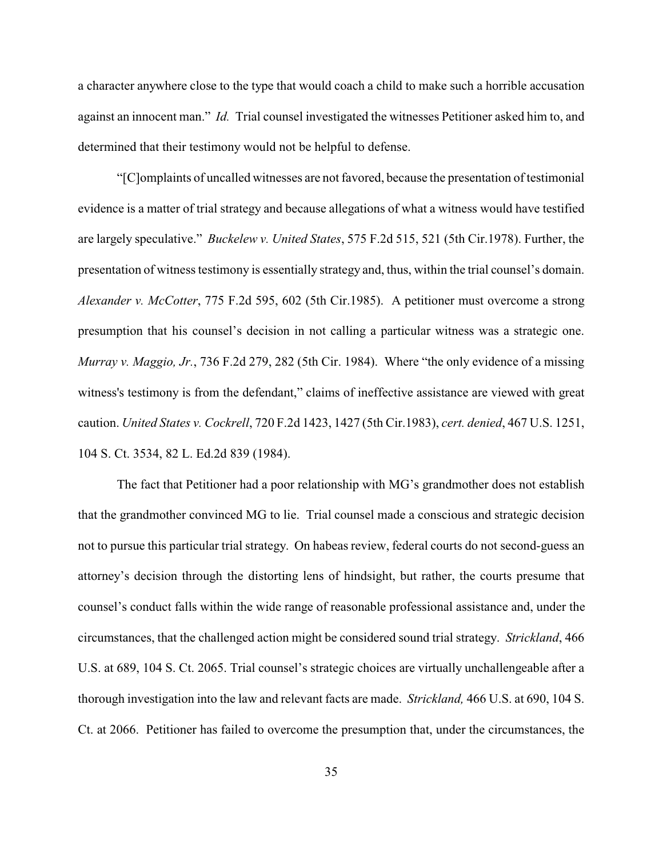a character anywhere close to the type that would coach a child to make such a horrible accusation against an innocent man." *Id.* Trial counsel investigated the witnesses Petitioner asked him to, and determined that their testimony would not be helpful to defense.

"[C]omplaints of uncalled witnesses are not favored, because the presentation of testimonial evidence is a matter of trial strategy and because allegations of what a witness would have testified are largely speculative." *Buckelew v. United States*, 575 F.2d 515, 521 (5th Cir.1978). Further, the presentation of witness testimony is essentially strategy and, thus, within the trial counsel's domain. *Alexander v. McCotter*, 775 F.2d 595, 602 (5th Cir.1985). A petitioner must overcome a strong presumption that his counsel's decision in not calling a particular witness was a strategic one. *Murray v. Maggio, Jr.*, 736 F.2d 279, 282 (5th Cir. 1984). Where "the only evidence of a missing witness's testimony is from the defendant," claims of ineffective assistance are viewed with great caution. *United States v. Cockrell*, 720 F.2d 1423, 1427 (5th Cir.1983), *cert. denied*, 467 U.S. 1251, 104 S. Ct. 3534, 82 L. Ed.2d 839 (1984).

The fact that Petitioner had a poor relationship with MG's grandmother does not establish that the grandmother convinced MG to lie. Trial counsel made a conscious and strategic decision not to pursue this particular trial strategy. On habeas review, federal courts do not second-guess an attorney's decision through the distorting lens of hindsight, but rather, the courts presume that counsel's conduct falls within the wide range of reasonable professional assistance and, under the circumstances, that the challenged action might be considered sound trial strategy. *Strickland*, 466 U.S. at 689, 104 S. Ct. 2065. Trial counsel's strategic choices are virtually unchallengeable after a thorough investigation into the law and relevant facts are made. *Strickland,* 466 U.S. at 690, 104 S. Ct. at 2066. Petitioner has failed to overcome the presumption that, under the circumstances, the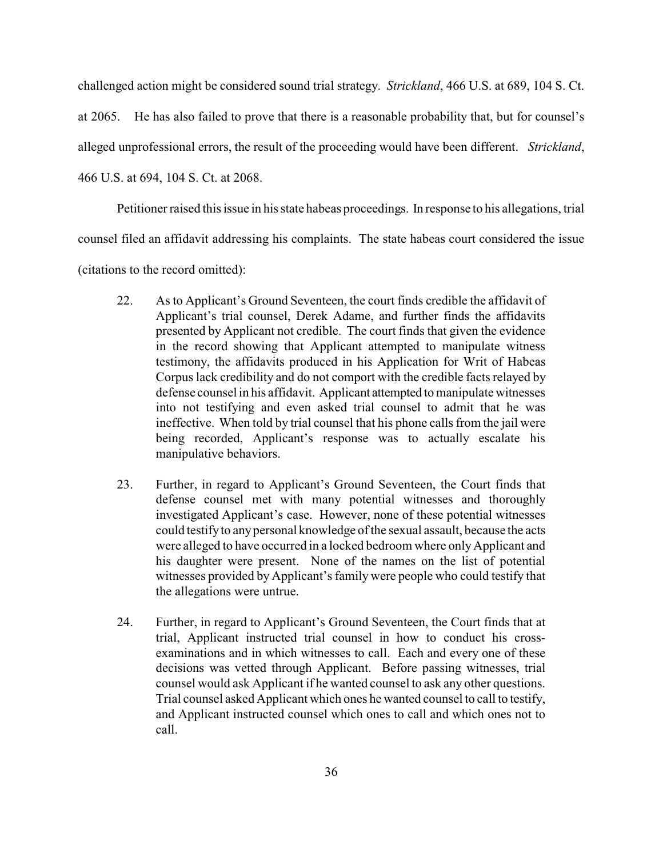challenged action might be considered sound trial strategy. *Strickland*, 466 U.S. at 689, 104 S. Ct.

at 2065. He has also failed to prove that there is a reasonable probability that, but for counsel's

alleged unprofessional errors, the result of the proceeding would have been different. *Strickland*,

466 U.S. at 694, 104 S. Ct. at 2068.

Petitioner raised this issue in his state habeas proceedings. In response to his allegations, trial

counsel filed an affidavit addressing his complaints. The state habeas court considered the issue

(citations to the record omitted):

- 22. As to Applicant's Ground Seventeen, the court finds credible the affidavit of Applicant's trial counsel, Derek Adame, and further finds the affidavits presented by Applicant not credible. The court finds that given the evidence in the record showing that Applicant attempted to manipulate witness testimony, the affidavits produced in his Application for Writ of Habeas Corpus lack credibility and do not comport with the credible facts relayed by defense counsel in his affidavit. Applicant attempted to manipulate witnesses into not testifying and even asked trial counsel to admit that he was ineffective. When told by trial counsel that his phone calls from the jail were being recorded, Applicant's response was to actually escalate his manipulative behaviors.
- 23. Further, in regard to Applicant's Ground Seventeen, the Court finds that defense counsel met with many potential witnesses and thoroughly investigated Applicant's case. However, none of these potential witnesses could testifyto anypersonal knowledge of the sexual assault, because the acts were alleged to have occurred in a locked bedroom where only Applicant and his daughter were present. None of the names on the list of potential witnesses provided by Applicant's family were people who could testify that the allegations were untrue.
- 24. Further, in regard to Applicant's Ground Seventeen, the Court finds that at trial, Applicant instructed trial counsel in how to conduct his crossexaminations and in which witnesses to call. Each and every one of these decisions was vetted through Applicant. Before passing witnesses, trial counsel would ask Applicant if he wanted counsel to ask any other questions. Trial counsel asked Applicant which ones he wanted counsel to call to testify, and Applicant instructed counsel which ones to call and which ones not to call.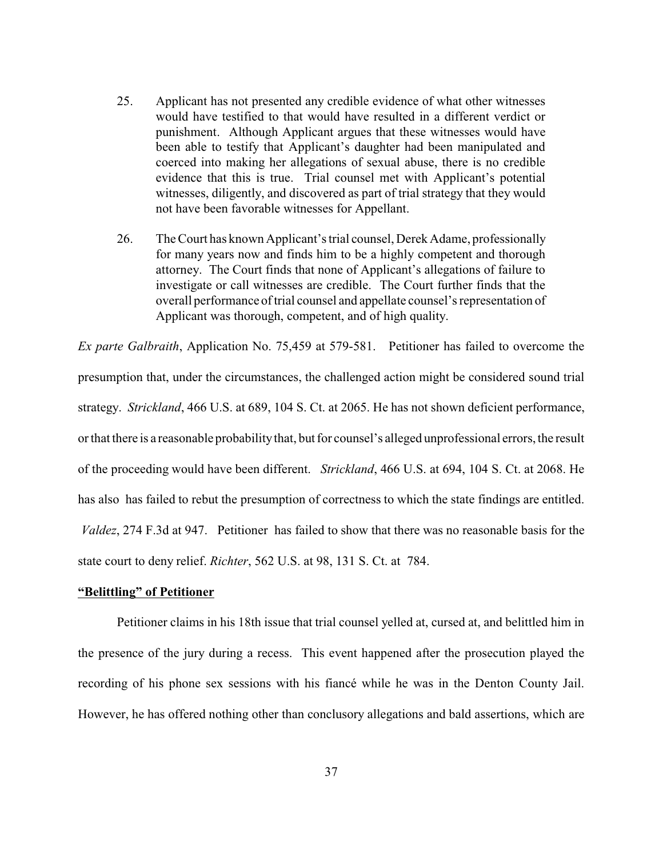- 25. Applicant has not presented any credible evidence of what other witnesses would have testified to that would have resulted in a different verdict or punishment. Although Applicant argues that these witnesses would have been able to testify that Applicant's daughter had been manipulated and coerced into making her allegations of sexual abuse, there is no credible evidence that this is true. Trial counsel met with Applicant's potential witnesses, diligently, and discovered as part of trial strategy that they would not have been favorable witnesses for Appellant.
- 26. The Court has known Applicant's trial counsel, Derek Adame, professionally for many years now and finds him to be a highly competent and thorough attorney. The Court finds that none of Applicant's allegations of failure to investigate or call witnesses are credible. The Court further finds that the overall performance of trial counsel and appellate counsel's representation of Applicant was thorough, competent, and of high quality.

*Ex parte Galbraith*, Application No. 75,459 at 579-581. Petitioner has failed to overcome the presumption that, under the circumstances, the challenged action might be considered sound trial strategy. *Strickland*, 466 U.S. at 689, 104 S. Ct. at 2065. He has not shown deficient performance, or that there is a reasonable probability that, but for counsel's alleged unprofessional errors, the result of the proceeding would have been different. *Strickland*, 466 U.S. at 694, 104 S. Ct. at 2068. He has also has failed to rebut the presumption of correctness to which the state findings are entitled. *Valdez*, 274 F.3d at 947. Petitioner has failed to show that there was no reasonable basis for the state court to deny relief. *Richter*, 562 U.S. at 98, 131 S. Ct. at 784.

#### **"Belittling" of Petitioner**

Petitioner claims in his 18th issue that trial counsel yelled at, cursed at, and belittled him in the presence of the jury during a recess. This event happened after the prosecution played the recording of his phone sex sessions with his fiancé while he was in the Denton County Jail. However, he has offered nothing other than conclusory allegations and bald assertions, which are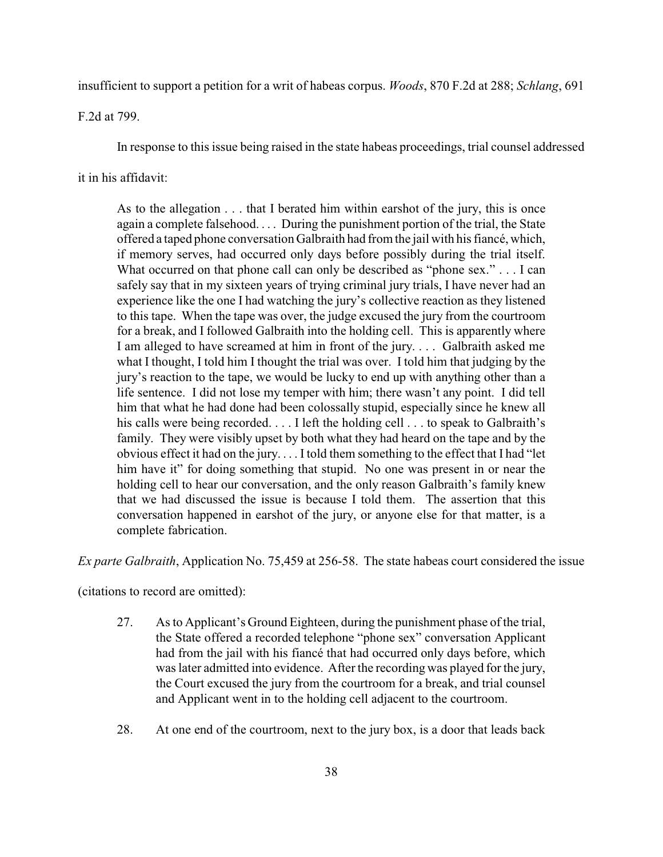insufficient to support a petition for a writ of habeas corpus. *Woods*, 870 F.2d at 288; *Schlang*, 691

F.2d at 799.

In response to this issue being raised in the state habeas proceedings, trial counsel addressed

it in his affidavit:

As to the allegation . . . that I berated him within earshot of the jury, this is once again a complete falsehood. . . . During the punishment portion of the trial, the State offered a taped phone conversation Galbraith had from the jail with his fiancé, which, if memory serves, had occurred only days before possibly during the trial itself. What occurred on that phone call can only be described as "phone sex." . . . I can safely say that in my sixteen years of trying criminal jury trials, I have never had an experience like the one I had watching the jury's collective reaction as they listened to this tape. When the tape was over, the judge excused the jury from the courtroom for a break, and I followed Galbraith into the holding cell. This is apparently where I am alleged to have screamed at him in front of the jury. . . . Galbraith asked me what I thought, I told him I thought the trial was over. I told him that judging by the jury's reaction to the tape, we would be lucky to end up with anything other than a life sentence. I did not lose my temper with him; there wasn't any point. I did tell him that what he had done had been colossally stupid, especially since he knew all his calls were being recorded. . . . I left the holding cell . . . to speak to Galbraith's family. They were visibly upset by both what they had heard on the tape and by the obvious effect it had on the jury. . . . I told them something to the effect that I had "let him have it" for doing something that stupid. No one was present in or near the holding cell to hear our conversation, and the only reason Galbraith's family knew that we had discussed the issue is because I told them. The assertion that this conversation happened in earshot of the jury, or anyone else for that matter, is a complete fabrication.

*Ex parte Galbraith*, Application No. 75,459 at 256-58. The state habeas court considered the issue

(citations to record are omitted):

- 27. As to Applicant's Ground Eighteen, during the punishment phase of the trial, the State offered a recorded telephone "phone sex" conversation Applicant had from the jail with his fiancé that had occurred only days before, which was later admitted into evidence. After the recording was played for the jury, the Court excused the jury from the courtroom for a break, and trial counsel and Applicant went in to the holding cell adjacent to the courtroom.
- 28. At one end of the courtroom, next to the jury box, is a door that leads back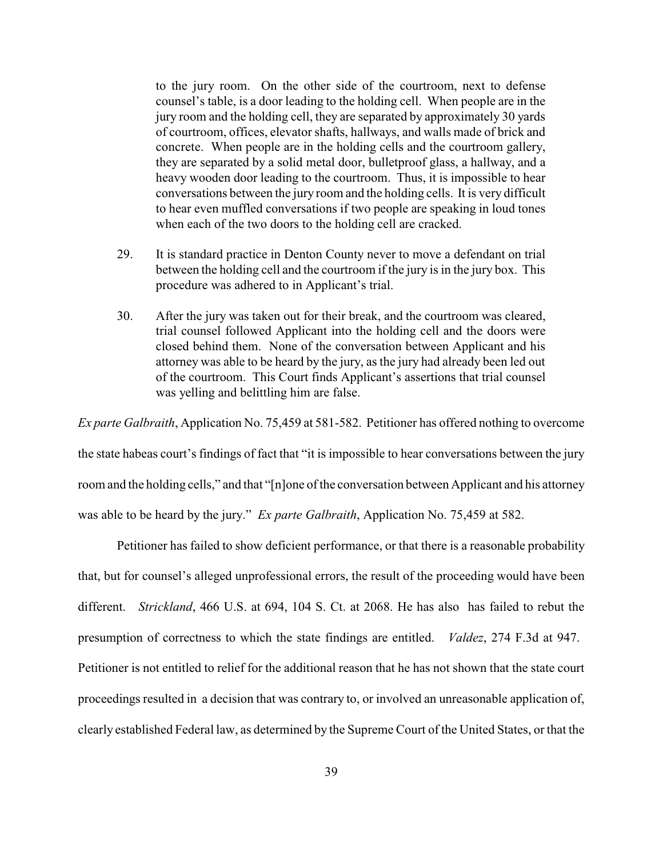to the jury room. On the other side of the courtroom, next to defense counsel's table, is a door leading to the holding cell. When people are in the jury room and the holding cell, they are separated by approximately 30 yards of courtroom, offices, elevator shafts, hallways, and walls made of brick and concrete. When people are in the holding cells and the courtroom gallery, they are separated by a solid metal door, bulletproof glass, a hallway, and a heavy wooden door leading to the courtroom. Thus, it is impossible to hear conversations between the jury room and the holding cells. It is very difficult to hear even muffled conversations if two people are speaking in loud tones when each of the two doors to the holding cell are cracked.

- 29. It is standard practice in Denton County never to move a defendant on trial between the holding cell and the courtroom if the jury is in the jury box. This procedure was adhered to in Applicant's trial.
- 30. After the jury was taken out for their break, and the courtroom was cleared, trial counsel followed Applicant into the holding cell and the doors were closed behind them. None of the conversation between Applicant and his attorney was able to be heard by the jury, as the jury had already been led out of the courtroom. This Court finds Applicant's assertions that trial counsel was yelling and belittling him are false.

*Ex parte Galbraith*, Application No. 75,459 at 581-582. Petitioner has offered nothing to overcome the state habeas court's findings of fact that "it is impossible to hear conversations between the jury room and the holding cells," and that "[n]one of the conversation between Applicant and his attorney was able to be heard by the jury." *Ex parte Galbraith*, Application No. 75,459 at 582.

Petitioner has failed to show deficient performance, or that there is a reasonable probability that, but for counsel's alleged unprofessional errors, the result of the proceeding would have been different. *Strickland*, 466 U.S. at 694, 104 S. Ct. at 2068. He has also has failed to rebut the presumption of correctness to which the state findings are entitled. *Valdez*, 274 F.3d at 947. Petitioner is not entitled to relief for the additional reason that he has not shown that the state court proceedings resulted in a decision that was contrary to, or involved an unreasonable application of, clearly established Federal law, as determined by the Supreme Court of the United States, or that the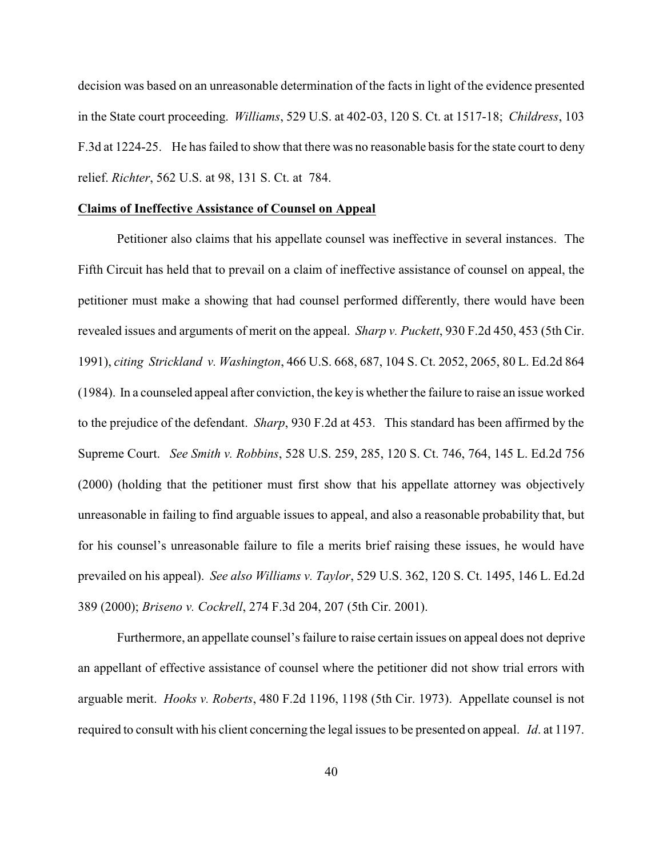decision was based on an unreasonable determination of the facts in light of the evidence presented in the State court proceeding. *Williams*, 529 U.S. at 402-03, 120 S. Ct. at 1517-18; *Childress*, 103 F.3d at 1224-25. He has failed to show that there was no reasonable basis for the state court to deny relief. *Richter*, 562 U.S. at 98, 131 S. Ct. at 784.

### **Claims of Ineffective Assistance of Counsel on Appeal**

Petitioner also claims that his appellate counsel was ineffective in several instances. The Fifth Circuit has held that to prevail on a claim of ineffective assistance of counsel on appeal, the petitioner must make a showing that had counsel performed differently, there would have been revealed issues and arguments of merit on the appeal. *Sharp v. Puckett*, 930 F.2d 450, 453 (5th Cir. 1991), *citing Strickland v. Washington*, 466 U.S. 668, 687, 104 S. Ct. 2052, 2065, 80 L. Ed.2d 864 (1984). In a counseled appeal after conviction, the key is whether the failure to raise an issue worked to the prejudice of the defendant. *Sharp*, 930 F.2d at 453. This standard has been affirmed by the Supreme Court. *See Smith v. Robbins*, 528 U.S. 259, 285, 120 S. Ct. 746, 764, 145 L. Ed.2d 756 (2000) (holding that the petitioner must first show that his appellate attorney was objectively unreasonable in failing to find arguable issues to appeal, and also a reasonable probability that, but for his counsel's unreasonable failure to file a merits brief raising these issues, he would have prevailed on his appeal). *See also Williams v. Taylor*, 529 U.S. 362, 120 S. Ct. 1495, 146 L. Ed.2d 389 (2000); *Briseno v. Cockrell*, 274 F.3d 204, 207 (5th Cir. 2001).

Furthermore, an appellate counsel's failure to raise certain issues on appeal does not deprive an appellant of effective assistance of counsel where the petitioner did not show trial errors with arguable merit. *Hooks v. Roberts*, 480 F.2d 1196, 1198 (5th Cir. 1973). Appellate counsel is not required to consult with his client concerning the legal issues to be presented on appeal. *Id*. at 1197.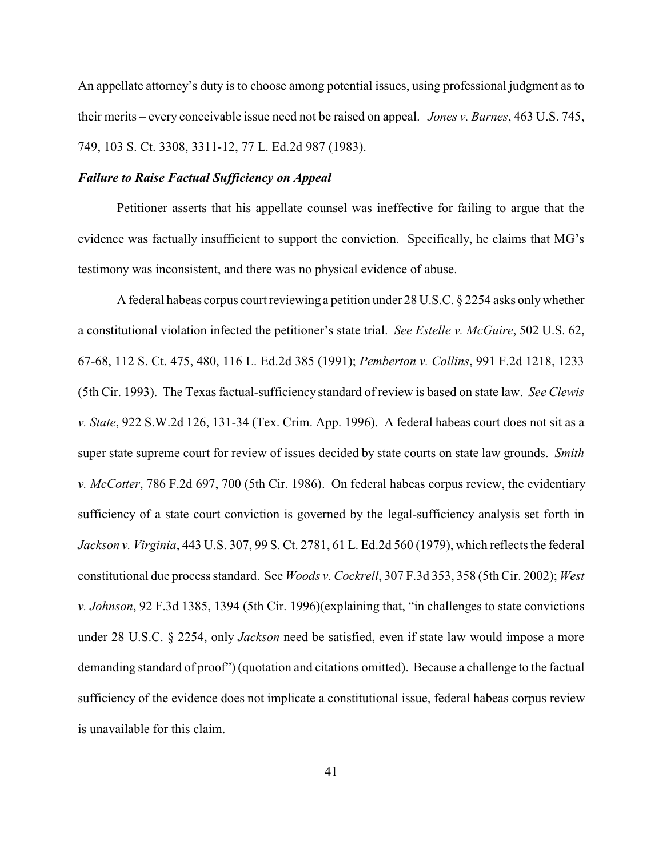An appellate attorney's duty is to choose among potential issues, using professional judgment as to their merits – every conceivable issue need not be raised on appeal. *Jones v. Barnes*, 463 U.S. 745, 749, 103 S. Ct. 3308, 3311-12, 77 L. Ed.2d 987 (1983).

## *Failure to Raise Factual Sufficiency on Appeal*

Petitioner asserts that his appellate counsel was ineffective for failing to argue that the evidence was factually insufficient to support the conviction. Specifically, he claims that MG's testimony was inconsistent, and there was no physical evidence of abuse.

A federal habeas corpus court reviewing a petition under 28 U.S.C. § 2254 asks onlywhether a constitutional violation infected the petitioner's state trial. *See Estelle v. McGuire*, 502 U.S. 62, 67-68, 112 S. Ct. 475, 480, 116 L. Ed.2d 385 (1991); *Pemberton v. Collins*, 991 F.2d 1218, 1233 (5th Cir. 1993). The Texas factual-sufficiency standard of review is based on state law. *See Clewis v. State*, 922 S.W.2d 126, 131-34 (Tex. Crim. App. 1996). A federal habeas court does not sit as a super state supreme court for review of issues decided by state courts on state law grounds. *Smith v. McCotter*, 786 F.2d 697, 700 (5th Cir. 1986). On federal habeas corpus review, the evidentiary sufficiency of a state court conviction is governed by the legal-sufficiency analysis set forth in *Jackson v. Virginia*, 443 U.S. 307, 99 S. Ct. 2781, 61 L. Ed.2d 560 (1979), which reflects the federal constitutional due process standard. See *Woods v. Cockrell*, 307 F.3d 353, 358 (5th Cir. 2002); *West v. Johnson*, 92 F.3d 1385, 1394 (5th Cir. 1996)(explaining that, "in challenges to state convictions under 28 U.S.C. § 2254, only *Jackson* need be satisfied, even if state law would impose a more demanding standard of proof") (quotation and citations omitted). Because a challenge to the factual sufficiency of the evidence does not implicate a constitutional issue, federal habeas corpus review is unavailable for this claim.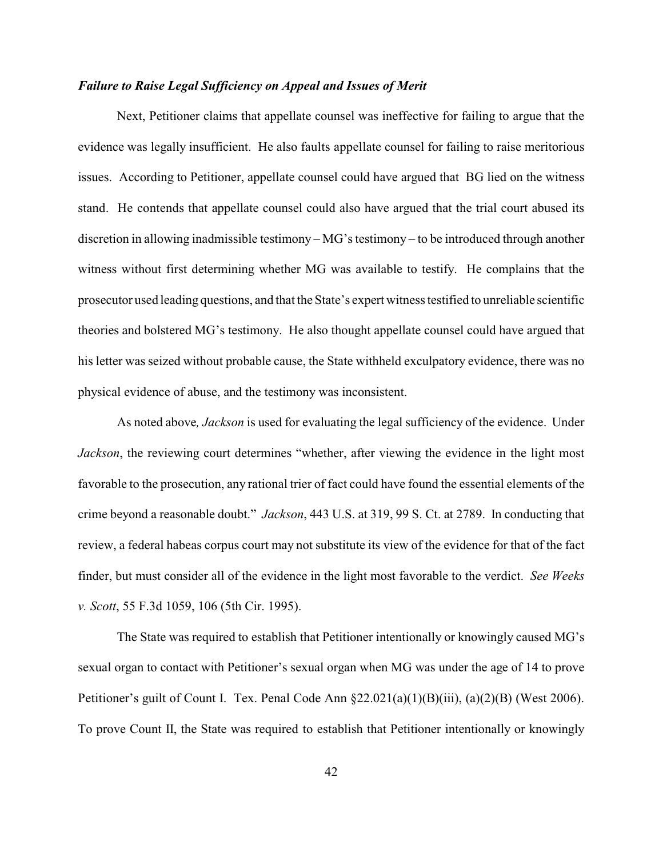# *Failure to Raise Legal Sufficiency on Appeal and Issues of Merit*

Next, Petitioner claims that appellate counsel was ineffective for failing to argue that the evidence was legally insufficient. He also faults appellate counsel for failing to raise meritorious issues. According to Petitioner, appellate counsel could have argued that BG lied on the witness stand. He contends that appellate counsel could also have argued that the trial court abused its discretion in allowing inadmissible testimony – MG's testimony – to be introduced through another witness without first determining whether MG was available to testify. He complains that the prosecutor used leading questions, and that the State's expert witness testified to unreliable scientific theories and bolstered MG's testimony. He also thought appellate counsel could have argued that his letter was seized without probable cause, the State withheld exculpatory evidence, there was no physical evidence of abuse, and the testimony was inconsistent.

As noted above*, Jackson* is used for evaluating the legal sufficiency of the evidence. Under *Jackson*, the reviewing court determines "whether, after viewing the evidence in the light most favorable to the prosecution, any rational trier of fact could have found the essential elements of the crime beyond a reasonable doubt." *Jackson*, 443 U.S. at 319, 99 S. Ct. at 2789. In conducting that review, a federal habeas corpus court may not substitute its view of the evidence for that of the fact finder, but must consider all of the evidence in the light most favorable to the verdict. *See Weeks v. Scott*, 55 F.3d 1059, 106 (5th Cir. 1995).

The State was required to establish that Petitioner intentionally or knowingly caused MG's sexual organ to contact with Petitioner's sexual organ when MG was under the age of 14 to prove Petitioner's guilt of Count I. Tex. Penal Code Ann §22.021(a)(1)(B)(iii), (a)(2)(B) (West 2006). To prove Count II, the State was required to establish that Petitioner intentionally or knowingly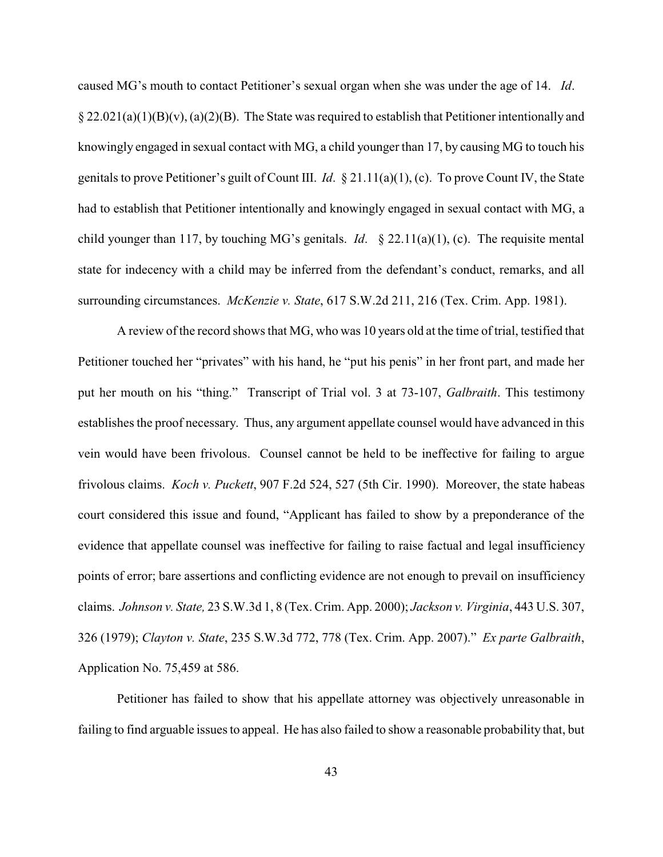caused MG's mouth to contact Petitioner's sexual organ when she was under the age of 14. *Id*.  $\S 22.021(a)(1)(B)(v)$ ,  $(a)(2)(B)$ . The State was required to establish that Petitioner intentionally and knowingly engaged in sexual contact with MG, a child younger than 17, by causing MG to touch his genitals to prove Petitioner's guilt of Count III. *Id*. § 21.11(a)(1), (c). To prove Count IV, the State had to establish that Petitioner intentionally and knowingly engaged in sexual contact with MG, a child younger than 117, by touching MG's genitals. *Id*. § 22.11(a)(1), (c). The requisite mental state for indecency with a child may be inferred from the defendant's conduct, remarks, and all surrounding circumstances. *McKenzie v. State*, 617 S.W.2d 211, 216 (Tex. Crim. App. 1981).

A review of the record shows that MG, who was 10 years old at the time of trial, testified that Petitioner touched her "privates" with his hand, he "put his penis" in her front part, and made her put her mouth on his "thing." Transcript of Trial vol. 3 at 73-107, *Galbraith*. This testimony establishes the proof necessary. Thus, any argument appellate counsel would have advanced in this vein would have been frivolous. Counsel cannot be held to be ineffective for failing to argue frivolous claims. *Koch v. Puckett*, 907 F.2d 524, 527 (5th Cir. 1990). Moreover, the state habeas court considered this issue and found, "Applicant has failed to show by a preponderance of the evidence that appellate counsel was ineffective for failing to raise factual and legal insufficiency points of error; bare assertions and conflicting evidence are not enough to prevail on insufficiency claims. *Johnson v. State,* 23 S.W.3d 1, 8 (Tex. Crim. App. 2000); *Jackson v. Virginia*, 443 U.S. 307, 326 (1979); *Clayton v. State*, 235 S.W.3d 772, 778 (Tex. Crim. App. 2007)." *Ex parte Galbraith*, Application No. 75,459 at 586.

Petitioner has failed to show that his appellate attorney was objectively unreasonable in failing to find arguable issues to appeal. He has also failed to show a reasonable probability that, but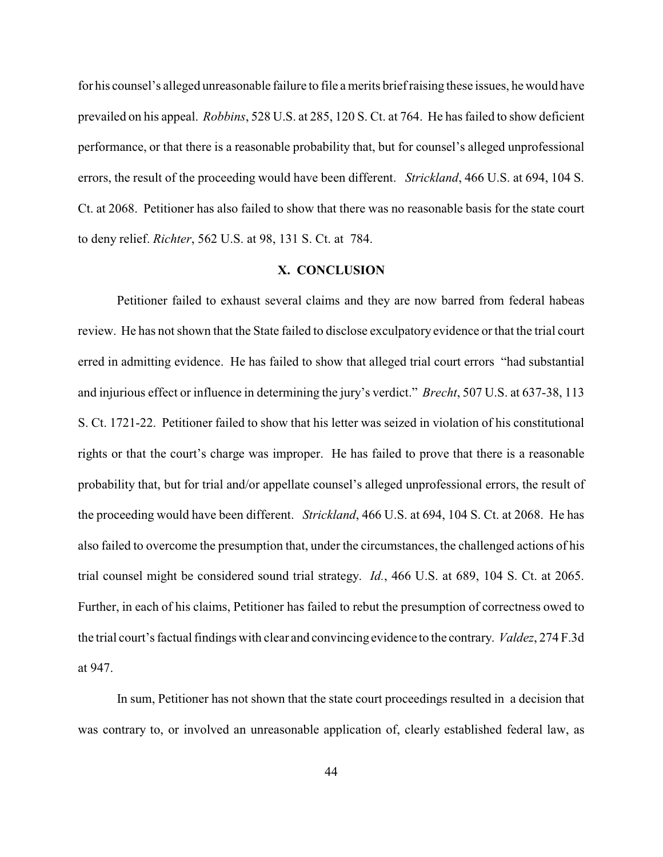for his counsel's alleged unreasonable failure to file a merits brief raising these issues, he would have prevailed on his appeal. *Robbins*, 528 U.S. at 285, 120 S. Ct. at 764. He has failed to show deficient performance, or that there is a reasonable probability that, but for counsel's alleged unprofessional errors, the result of the proceeding would have been different. *Strickland*, 466 U.S. at 694, 104 S. Ct. at 2068. Petitioner has also failed to show that there was no reasonable basis for the state court to deny relief. *Richter*, 562 U.S. at 98, 131 S. Ct. at 784.

# **X. CONCLUSION**

Petitioner failed to exhaust several claims and they are now barred from federal habeas review. He has not shown that the State failed to disclose exculpatory evidence or that the trial court erred in admitting evidence. He has failed to show that alleged trial court errors "had substantial and injurious effect or influence in determining the jury's verdict." *Brecht*, 507 U.S. at 637-38, 113 S. Ct. 1721-22. Petitioner failed to show that his letter was seized in violation of his constitutional rights or that the court's charge was improper. He has failed to prove that there is a reasonable probability that, but for trial and/or appellate counsel's alleged unprofessional errors, the result of the proceeding would have been different. *Strickland*, 466 U.S. at 694, 104 S. Ct. at 2068. He has also failed to overcome the presumption that, under the circumstances, the challenged actions of his trial counsel might be considered sound trial strategy. *Id.*, 466 U.S. at 689, 104 S. Ct. at 2065. Further, in each of his claims, Petitioner has failed to rebut the presumption of correctness owed to the trial court's factual findings with clear and convincing evidence to the contrary. *Valdez*, 274 F.3d at 947.

In sum, Petitioner has not shown that the state court proceedings resulted in a decision that was contrary to, or involved an unreasonable application of, clearly established federal law, as